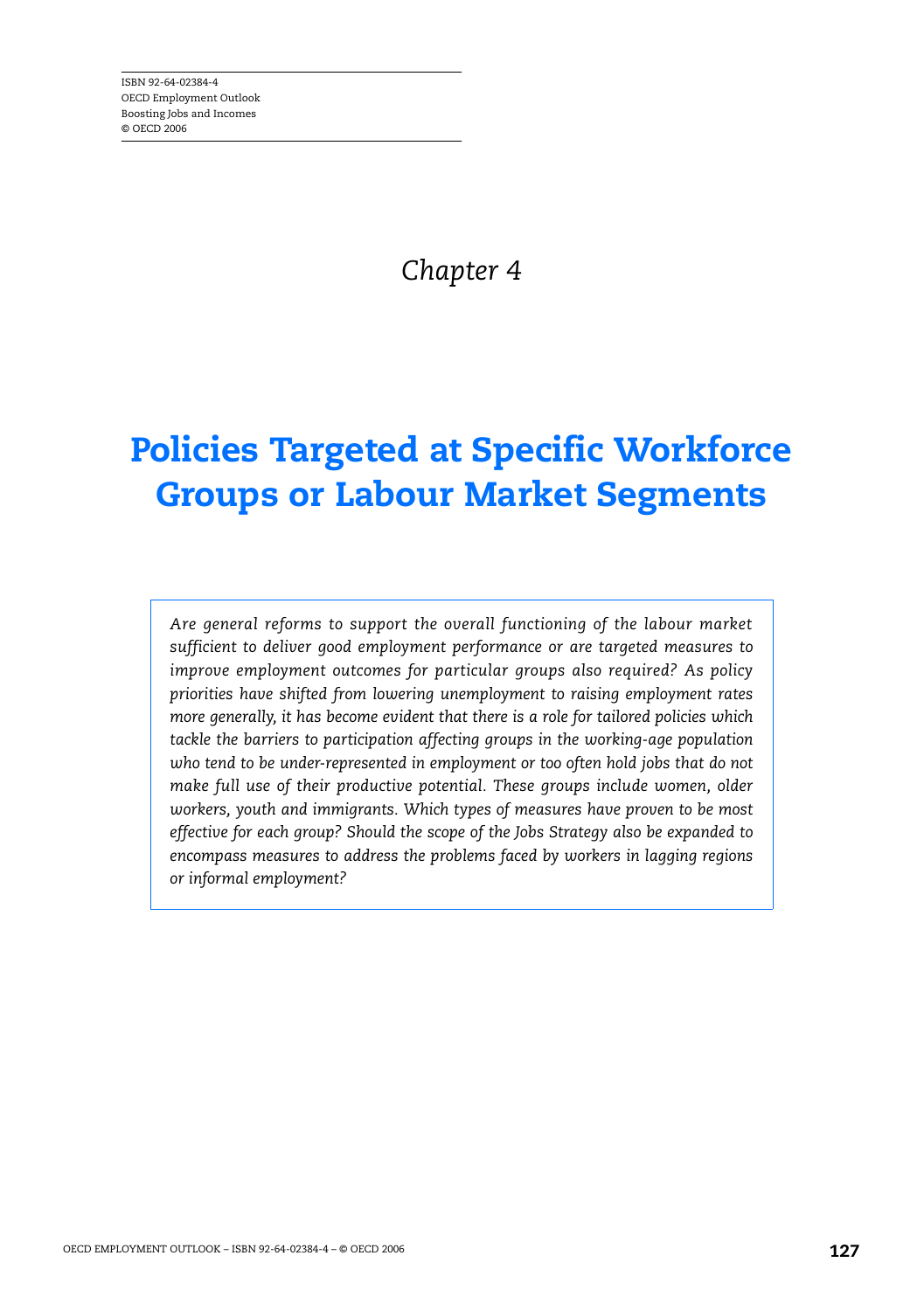*Chapter 4* 

# **Policies Targeted at Specific Workforce Groups or Labour Market Segments**

*Are general reforms to support the overall functioning of the labour market sufficient to deliver good employment performance or are targeted measures to improve employment outcomes for particular groups also required? As policy priorities have shifted from lowering unemployment to raising employment rates more generally, it has become evident that there is a role for tailored policies which tackle the barriers to participation affecting groups in the working-age population who tend to be under-represented in employment or too often hold jobs that do not make full use of their productive potential. These groups include women, older workers, youth and immigrants. Which types of measures have proven to be most effective for each group? Should the scope of the Jobs Strategy also be expanded to encompass measures to address the problems faced by workers in lagging regions or informal employment?*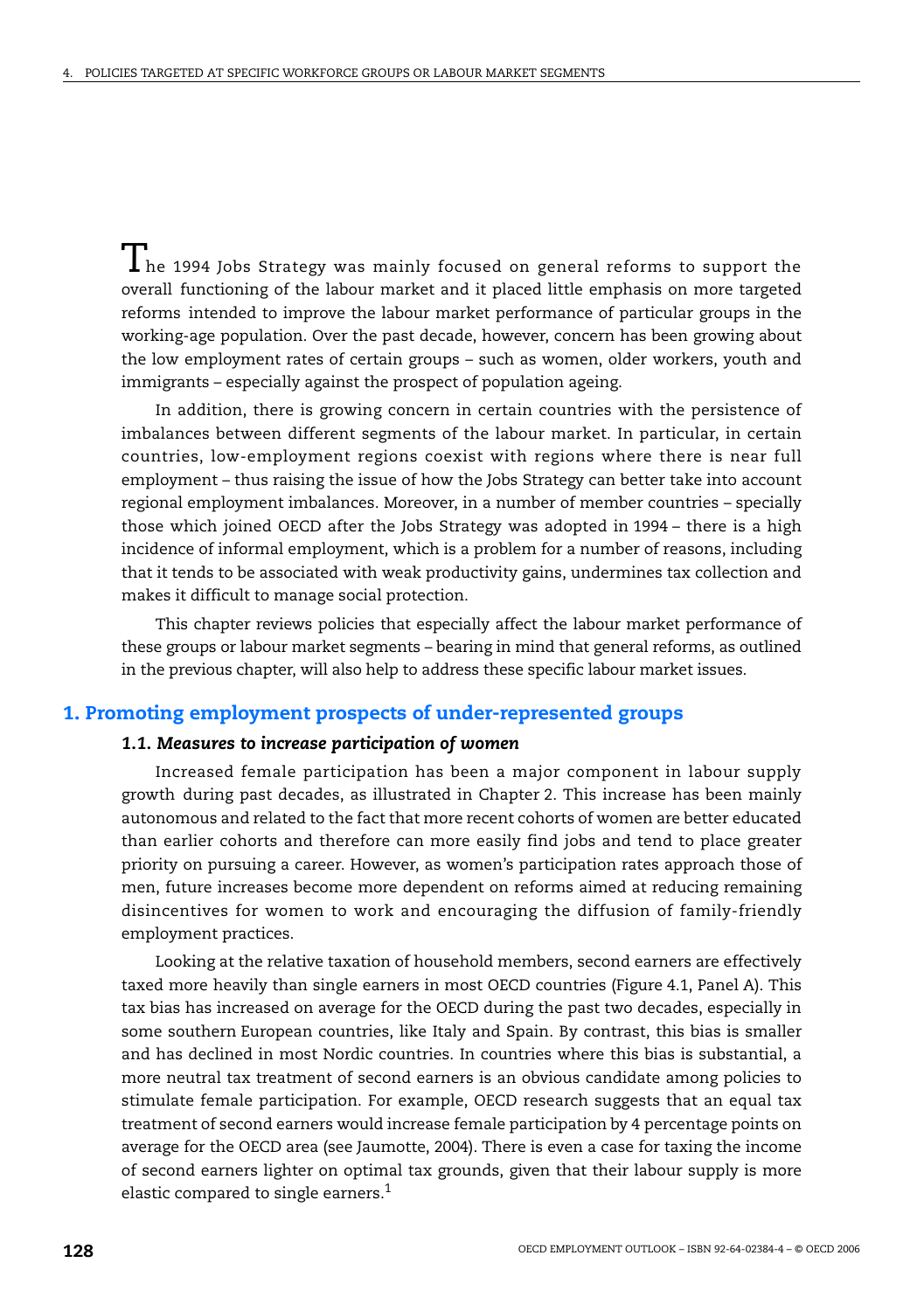$\prod_{i=1}^{\infty}$   $\prod_{i=1}^{\infty}$  Jobs Strategy was mainly focused on general reforms to support the overall functioning of the labour market and it placed little emphasis on more targeted reforms intended to improve the labour market performance of particular groups in the working-age population. Over the past decade, however, concern has been growing about the low employment rates of certain groups – such as women, older workers, youth and immigrants – especially against the prospect of population ageing.

In addition, there is growing concern in certain countries with the persistence of imbalances between different segments of the labour market. In particular, in certain countries, low-employment regions coexist with regions where there is near full employment – thus raising the issue of how the Jobs Strategy can better take into account regional employment imbalances. Moreover, in a number of member countries – specially those which joined OECD after the Jobs Strategy was adopted in 1994 – there is a high incidence of informal employment, which is a problem for a number of reasons, including that it tends to be associated with weak productivity gains, undermines tax collection and makes it difficult to manage social protection.

This chapter reviews policies that especially affect the labour market performance of these groups or labour market segments – bearing in mind that general reforms, as outlined in the previous chapter, will also help to address these specific labour market issues.

# **1. Promoting employment prospects of under-represented groups**

# *1.1. Measures to increase participation of women*

Increased female participation has been a major component in labour supply growth during past decades, as illustrated in Chapter 2. This increase has been mainly autonomous and related to the fact that more recent cohorts of women are better educated than earlier cohorts and therefore can more easily find jobs and tend to place greater priority on pursuing a career. However, as women's participation rates approach those of men, future increases become more dependent on reforms aimed at reducing remaining disincentives for women to work and encouraging the diffusion of family-friendly employment practices.

Looking at the relative taxation of household members, second earners are effectively taxed more heavily than single earners in most OECD countries (Figure 4.1, Panel A). This tax bias has increased on average for the OECD during the past two decades, especially in some southern European countries, like Italy and Spain. By contrast, this bias is smaller and has declined in most Nordic countries. In countries where this bias is substantial, a more neutral tax treatment of second earners is an obvious candidate among policies to stimulate female participation. For example, OECD research suggests that an equal tax treatment of second earners would increase female participation by 4 percentage points on average for the OECD area (see Jaumotte, 2004). There is even a case for taxing the income of second earners lighter on optimal tax grounds, given that their labour supply is more elastic compared to single earners. $<sup>1</sup>$ </sup>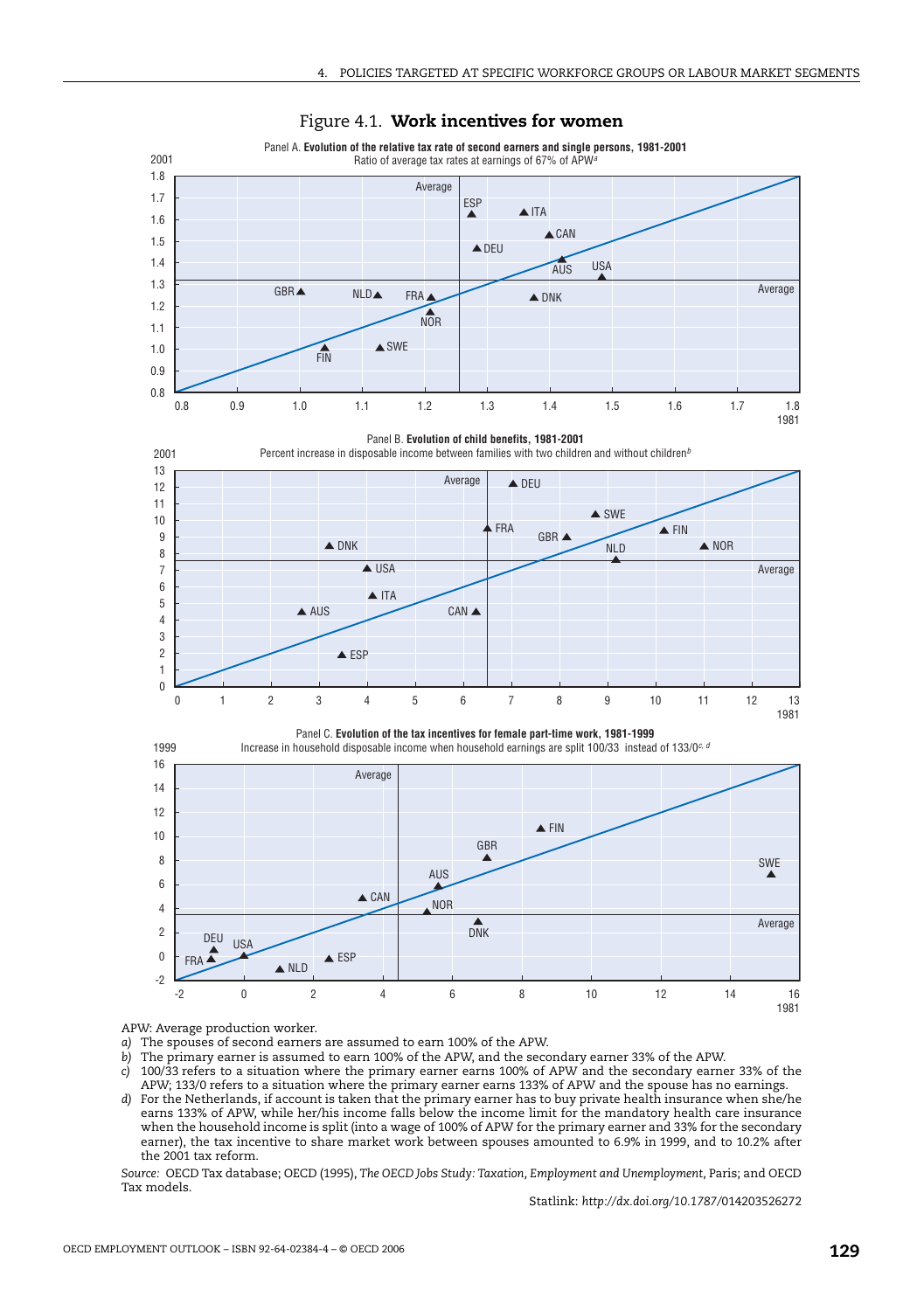

Figure 4.1. **Work incentives for women**

APW: Average production worker.

- *a)* The spouses of second earners are assumed to earn 100% of the APW.
- *b)* The primary earner is assumed to earn 100% of the APW, and the secondary earner 33% of the APW.
- *c)* 100/33 refers to a situation where the primary earner earns 100% of APW and the secondary earner 33% of the APW; 133/0 refers to a situation where the primary earner earns 133% of APW and the spouse has no earnings. *d)* For the Netherlands, if account is taken that the primary earner has to buy private health insurance when she/he earns 133% of APW, while her/his income falls below the income limit for the mandatory health care insurance when the household income is split (into a wage of 100% of APW for the primary earner and 33% for the secondary earner), the tax incentive to share market work between spouses amounted to 6.9% in 1999, and to 10.2% after

the 2001 tax reform. *Source:* OECD Tax database; OECD (1995), *The OECD Jobs Study: Taxation, Employment and Unemployment*, Paris; and OECD Tax models.

Statlink: *http://dx.doi.org/10.1787/*014203526272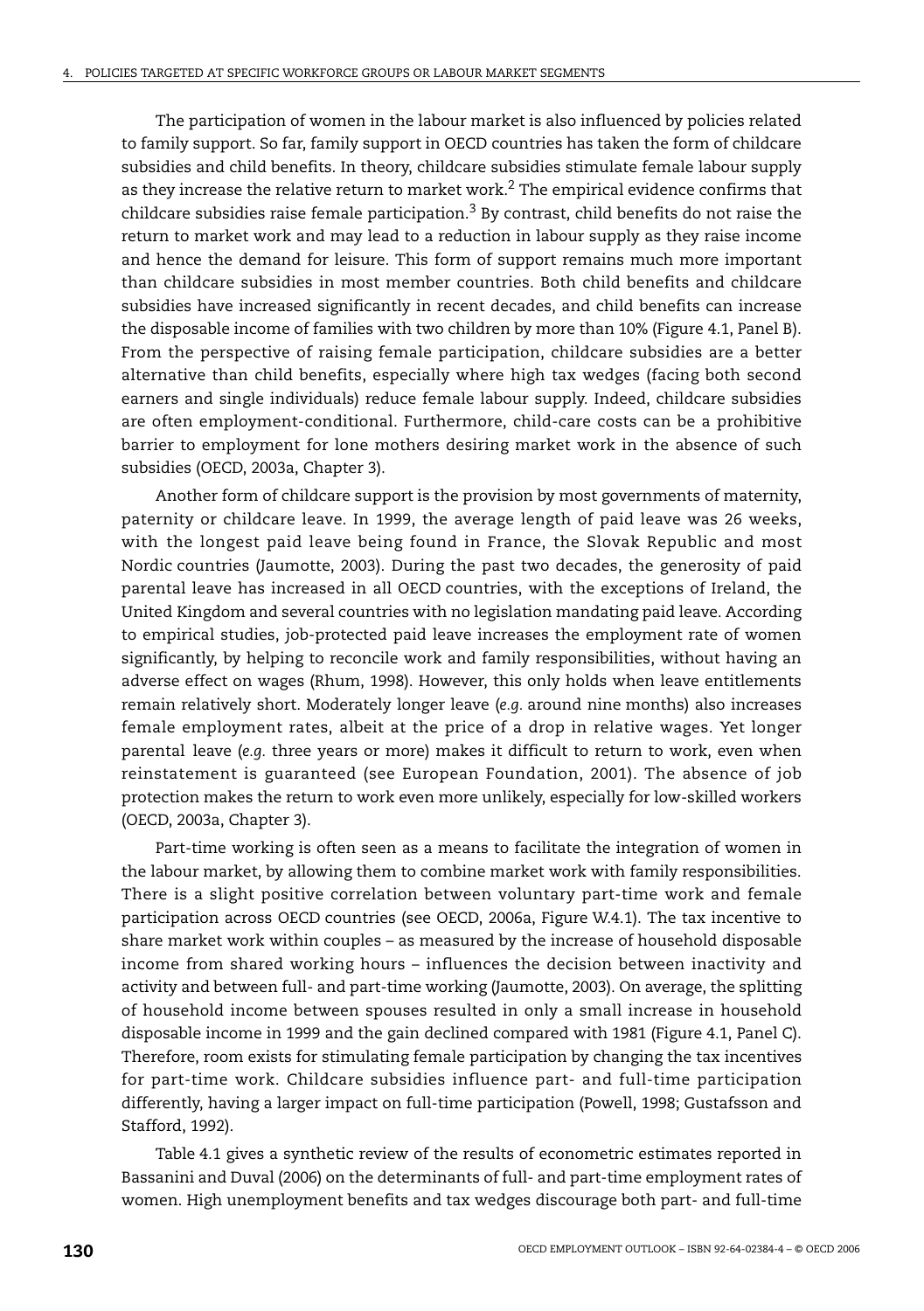The participation of women in the labour market is also influenced by policies related to family support. So far, family support in OECD countries has taken the form of childcare subsidies and child benefits. In theory, childcare subsidies stimulate female labour supply as they increase the relative return to market work.2 The empirical evidence confirms that childcare subsidies raise female participation.<sup>3</sup> By contrast, child benefits do not raise the return to market work and may lead to a reduction in labour supply as they raise income and hence the demand for leisure. This form of support remains much more important than childcare subsidies in most member countries. Both child benefits and childcare subsidies have increased significantly in recent decades, and child benefits can increase the disposable income of families with two children by more than 10% (Figure 4.1, Panel B). From the perspective of raising female participation, childcare subsidies are a better alternative than child benefits, especially where high tax wedges (facing both second earners and single individuals) reduce female labour supply. Indeed, childcare subsidies are often employment-conditional. Furthermore, child-care costs can be a prohibitive barrier to employment for lone mothers desiring market work in the absence of such subsidies (OECD, 2003a, Chapter 3).

Another form of childcare support is the provision by most governments of maternity, paternity or childcare leave. In 1999, the average length of paid leave was 26 weeks, with the longest paid leave being found in France, the Slovak Republic and most Nordic countries (Jaumotte, 2003). During the past two decades, the generosity of paid parental leave has increased in all OECD countries, with the exceptions of Ireland, the United Kingdom and several countries with no legislation mandating paid leave. According to empirical studies, job-protected paid leave increases the employment rate of women significantly, by helping to reconcile work and family responsibilities, without having an adverse effect on wages (Rhum, 1998). However, this only holds when leave entitlements remain relatively short. Moderately longer leave (*e.g.* around nine months) also increases female employment rates, albeit at the price of a drop in relative wages. Yet longer parental leave (*e.g.* three years or more) makes it difficult to return to work, even when reinstatement is guaranteed (see European Foundation, 2001). The absence of job protection makes the return to work even more unlikely, especially for low-skilled workers (OECD, 2003a, Chapter 3).

Part-time working is often seen as a means to facilitate the integration of women in the labour market, by allowing them to combine market work with family responsibilities. There is a slight positive correlation between voluntary part-time work and female participation across OECD countries (see OECD, 2006a, Figure W.4.1). The tax incentive to share market work within couples – as measured by the increase of household disposable income from shared working hours – influences the decision between inactivity and activity and between full- and part-time working (Jaumotte, 2003). On average, the splitting of household income between spouses resulted in only a small increase in household disposable income in 1999 and the gain declined compared with 1981 (Figure 4.1, Panel C). Therefore, room exists for stimulating female participation by changing the tax incentives for part-time work. Childcare subsidies influence part- and full-time participation differently, having a larger impact on full-time participation (Powell, 1998; Gustafsson and Stafford, 1992).

Table 4.1 gives a synthetic review of the results of econometric estimates reported in Bassanini and Duval (2006) on the determinants of full- and part-time employment rates of women. High unemployment benefits and tax wedges discourage both part- and full-time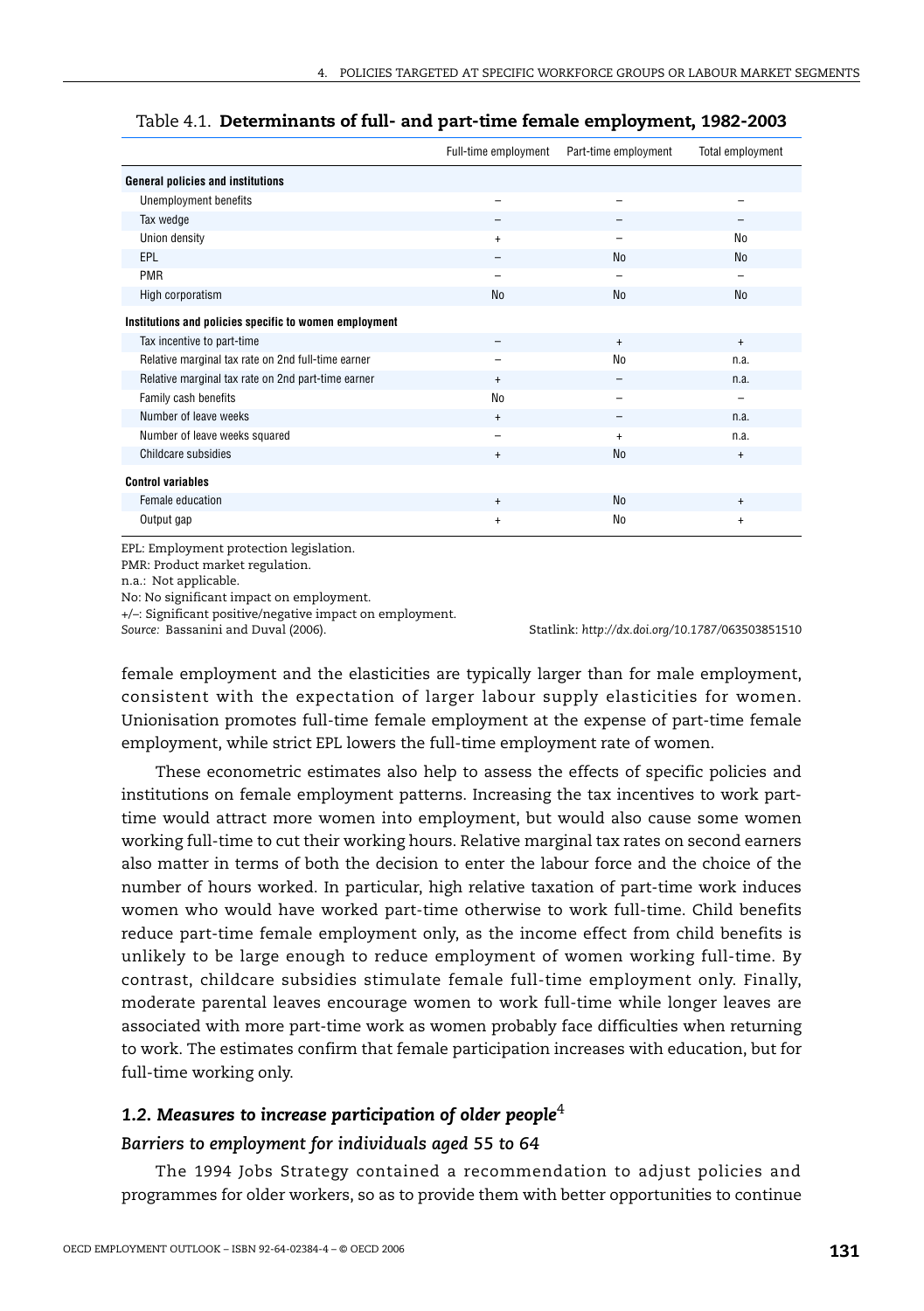|                                                        | Full-time employment     | Part-time employment     | Total employment         |
|--------------------------------------------------------|--------------------------|--------------------------|--------------------------|
| <b>General policies and institutions</b>               |                          |                          |                          |
| Unemployment benefits                                  | $\overline{\phantom{0}}$ | ۰                        |                          |
| Tax wedge                                              |                          |                          |                          |
| Union density                                          | $+$                      | $\overline{\phantom{0}}$ | No                       |
| EPL                                                    | $\overline{\phantom{0}}$ | No                       | No                       |
| <b>PMR</b>                                             | $\overline{\phantom{0}}$ |                          | $\overline{\phantom{0}}$ |
| High corporatism                                       | N <sub>0</sub>           | No                       | No                       |
| Institutions and policies specific to women employment |                          |                          |                          |
| Tax incentive to part-time                             | $\overline{\phantom{0}}$ | $+$                      | $+$                      |
| Relative marginal tax rate on 2nd full-time earner     | -                        | No                       | n.a.                     |
| Relative marginal tax rate on 2nd part-time earner     | $+$                      |                          | n.a.                     |
| Family cash benefits                                   | No                       |                          | $\overline{\phantom{0}}$ |
| Number of leave weeks                                  | $+$                      |                          | n.a.                     |
| Number of leave weeks squared                          |                          | $+$                      | n.a.                     |
| Childcare subsidies                                    | $+$                      | No                       | $+$                      |
| <b>Control variables</b>                               |                          |                          |                          |
| Female education                                       | $+$                      | <b>No</b>                | $+$                      |
| Output gap                                             | $+$                      | No                       | $+$                      |

|  | Table 4.1. Determinants of full- and part-time female employment, 1982-2003 |  |  |  |  |  |
|--|-----------------------------------------------------------------------------|--|--|--|--|--|
|--|-----------------------------------------------------------------------------|--|--|--|--|--|

EPL: Employment protection legislation.

PMR: Product market regulation.

n.a.: Not applicable.

No: No significant impact on employment.

+/–: Significant positive/negative impact on employment.

*Source:* Bassanini and Duval (2006). Statlink: *http://dx.doi.org/10.1787/*063503851510

female employment and the elasticities are typically larger than for male employment, consistent with the expectation of larger labour supply elasticities for women. Unionisation promotes full-time female employment at the expense of part-time female employment, while strict EPL lowers the full-time employment rate of women.

These econometric estimates also help to assess the effects of specific policies and institutions on female employment patterns. Increasing the tax incentives to work parttime would attract more women into employment, but would also cause some women working full-time to cut their working hours. Relative marginal tax rates on second earners also matter in terms of both the decision to enter the labour force and the choice of the number of hours worked. In particular, high relative taxation of part-time work induces women who would have worked part-time otherwise to work full-time. Child benefits reduce part-time female employment only, as the income effect from child benefits is unlikely to be large enough to reduce employment of women working full-time. By contrast, childcare subsidies stimulate female full-time employment only. Finally, moderate parental leaves encourage women to work full-time while longer leaves are associated with more part-time work as women probably face difficulties when returning to work. The estimates confirm that female participation increases with education, but for full-time working only.

## *1.2. Measures to increase participation of older people*<sup>4</sup>

## *Barriers to employment for individuals aged 55 to 64*

The 1994 Jobs Strategy contained a recommendation to adjust policies and programmes for older workers, so as to provide them with better opportunities to continue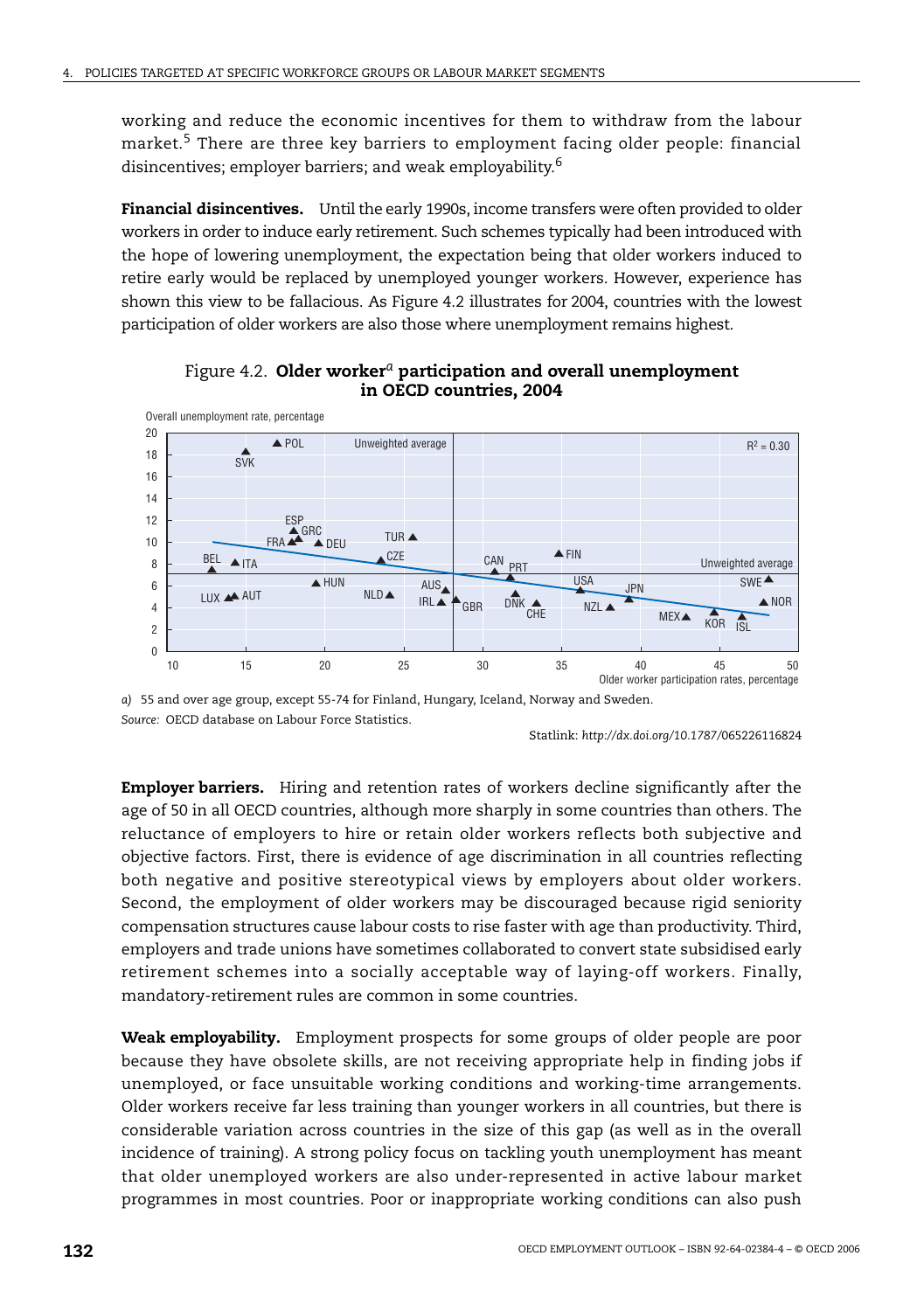working and reduce the economic incentives for them to withdraw from the labour market.5 There are three key barriers to employment facing older people: financial disincentives; employer barriers; and weak employability.<sup>6</sup>

**Financial disincentives.** Until the early 1990s, income transfers were often provided to older workers in order to induce early retirement. Such schemes typically had been introduced with the hope of lowering unemployment, the expectation being that older workers induced to retire early would be replaced by unemployed younger workers. However, experience has shown this view to be fallacious. As Figure 4.2 illustrates for 2004, countries with the lowest participation of older workers are also those where unemployment remains highest.



Figure 4.2. **Older worker***a* **participation and overall unemployment in OECD countries, 2004**

*a)* 55 and over age group, except 55-74 for Finland, Hungary, Iceland, Norway and Sweden. *Source:* OECD database on Labour Force Statistics.

**Employer barriers.** Hiring and retention rates of workers decline significantly after the age of 50 in all OECD countries, although more sharply in some countries than others. The reluctance of employers to hire or retain older workers reflects both subjective and objective factors. First, there is evidence of age discrimination in all countries reflecting both negative and positive stereotypical views by employers about older workers. Second, the employment of older workers may be discouraged because rigid seniority compensation structures cause labour costs to rise faster with age than productivity. Third, employers and trade unions have sometimes collaborated to convert state subsidised early retirement schemes into a socially acceptable way of laying-off workers. Finally, mandatory-retirement rules are common in some countries.

**Weak employability.** Employment prospects for some groups of older people are poor because they have obsolete skills, are not receiving appropriate help in finding jobs if unemployed, or face unsuitable working conditions and working-time arrangements. Older workers receive far less training than younger workers in all countries, but there is considerable variation across countries in the size of this gap (as well as in the overall incidence of training). A strong policy focus on tackling youth unemployment has meant that older unemployed workers are also under-represented in active labour market programmes in most countries. Poor or inappropriate working conditions can also push

Statlink: *http://dx.doi.org/10.1787/*065226116824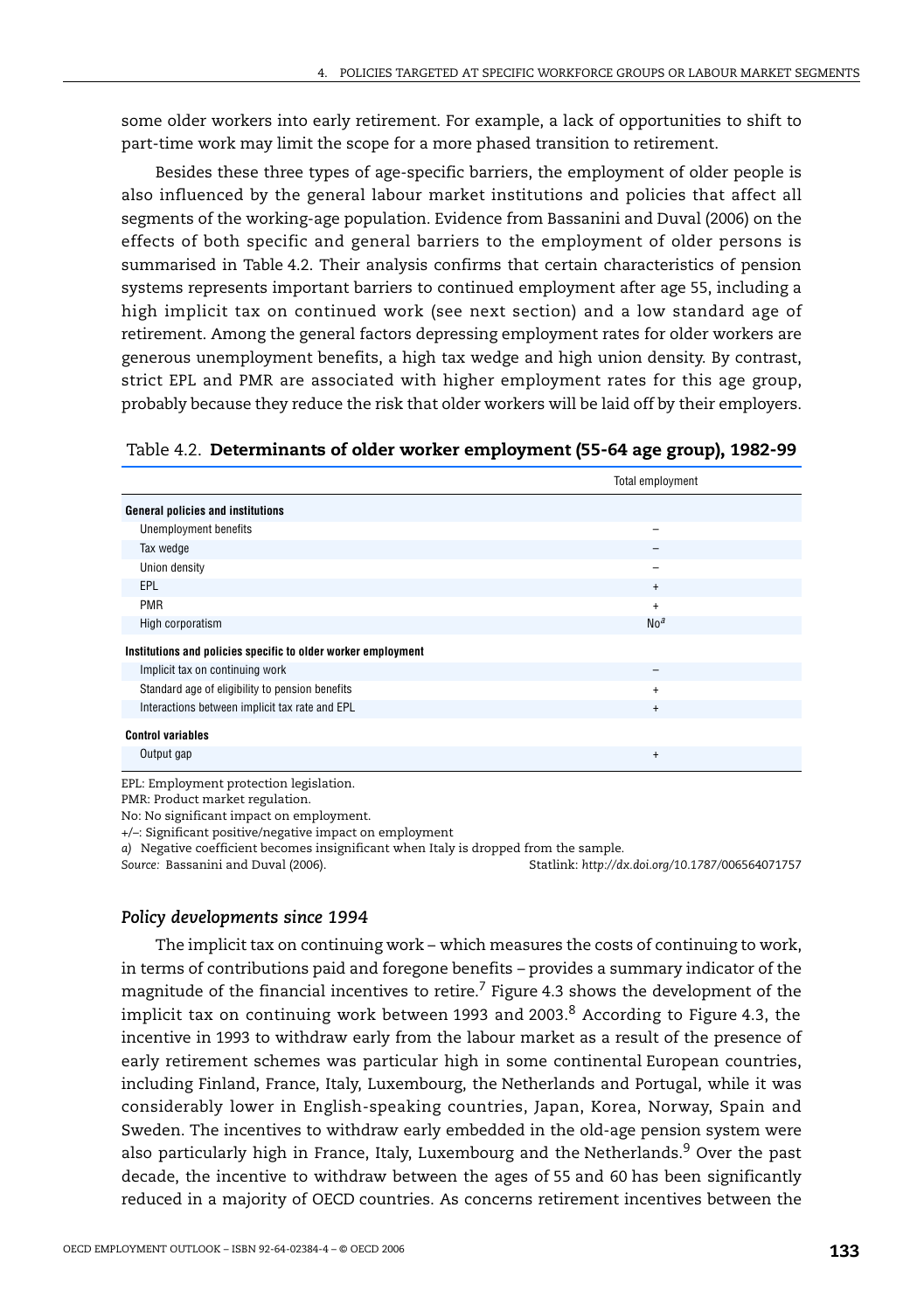some older workers into early retirement. For example, a lack of opportunities to shift to part-time work may limit the scope for a more phased transition to retirement.

Besides these three types of age-specific barriers, the employment of older people is also influenced by the general labour market institutions and policies that affect all segments of the working-age population. Evidence from Bassanini and Duval (2006) on the effects of both specific and general barriers to the employment of older persons is summarised in Table 4.2. Their analysis confirms that certain characteristics of pension systems represents important barriers to continued employment after age 55, including a high implicit tax on continued work (see next section) and a low standard age of retirement. Among the general factors depressing employment rates for older workers are generous unemployment benefits, a high tax wedge and high union density. By contrast, strict EPL and PMR are associated with higher employment rates for this age group, probably because they reduce the risk that older workers will be laid off by their employers.

#### Table 4.2. **Determinants of older worker employment (55-64 age group), 1982-99**

|                                                               | Total employment         |
|---------------------------------------------------------------|--------------------------|
| General policies and institutions                             |                          |
| <b>Unemployment benefits</b>                                  |                          |
| Tax wedge                                                     |                          |
| Union density                                                 | $\overline{\phantom{0}}$ |
| EPL                                                           | $+$                      |
| <b>PMR</b>                                                    | $+$                      |
| High corporatism                                              | No <sup>a</sup>          |
| Institutions and policies specific to older worker employment |                          |
| Implicit tax on continuing work                               | $\overline{\phantom{0}}$ |
| Standard age of eligibility to pension benefits               | $+$                      |
| Interactions between implicit tax rate and EPL                | $+$                      |
| <b>Control variables</b>                                      |                          |
| Output gap                                                    | $\ddot{}$                |

EPL: Employment protection legislation.

PMR: Product market regulation.

No: No significant impact on employment.

+/–: Significant positive/negative impact on employment

*a)* Negative coefficient becomes insignificant when Italy is dropped from the sample.

*Source:* Bassanini and Duval (2006). Statlink: *http://dx.doi.org/10.1787/*006564071757

#### *Policy developments since 1994*

The implicit tax on continuing work – which measures the costs of continuing to work, in terms of contributions paid and foregone benefits – provides a summary indicator of the magnitude of the financial incentives to retire.<sup>7</sup> Figure 4.3 shows the development of the implicit tax on continuing work between 1993 and 2003.<sup>8</sup> According to Figure 4.3, the incentive in 1993 to withdraw early from the labour market as a result of the presence of early retirement schemes was particular high in some continental European countries, including Finland, France, Italy, Luxembourg, the Netherlands and Portugal, while it was considerably lower in English-speaking countries, Japan, Korea, Norway, Spain and Sweden. The incentives to withdraw early embedded in the old-age pension system were also particularly high in France, Italy, Luxembourg and the Netherlands.<sup>9</sup> Over the past decade, the incentive to withdraw between the ages of 55 and 60 has been significantly reduced in a majority of OECD countries. As concerns retirement incentives between the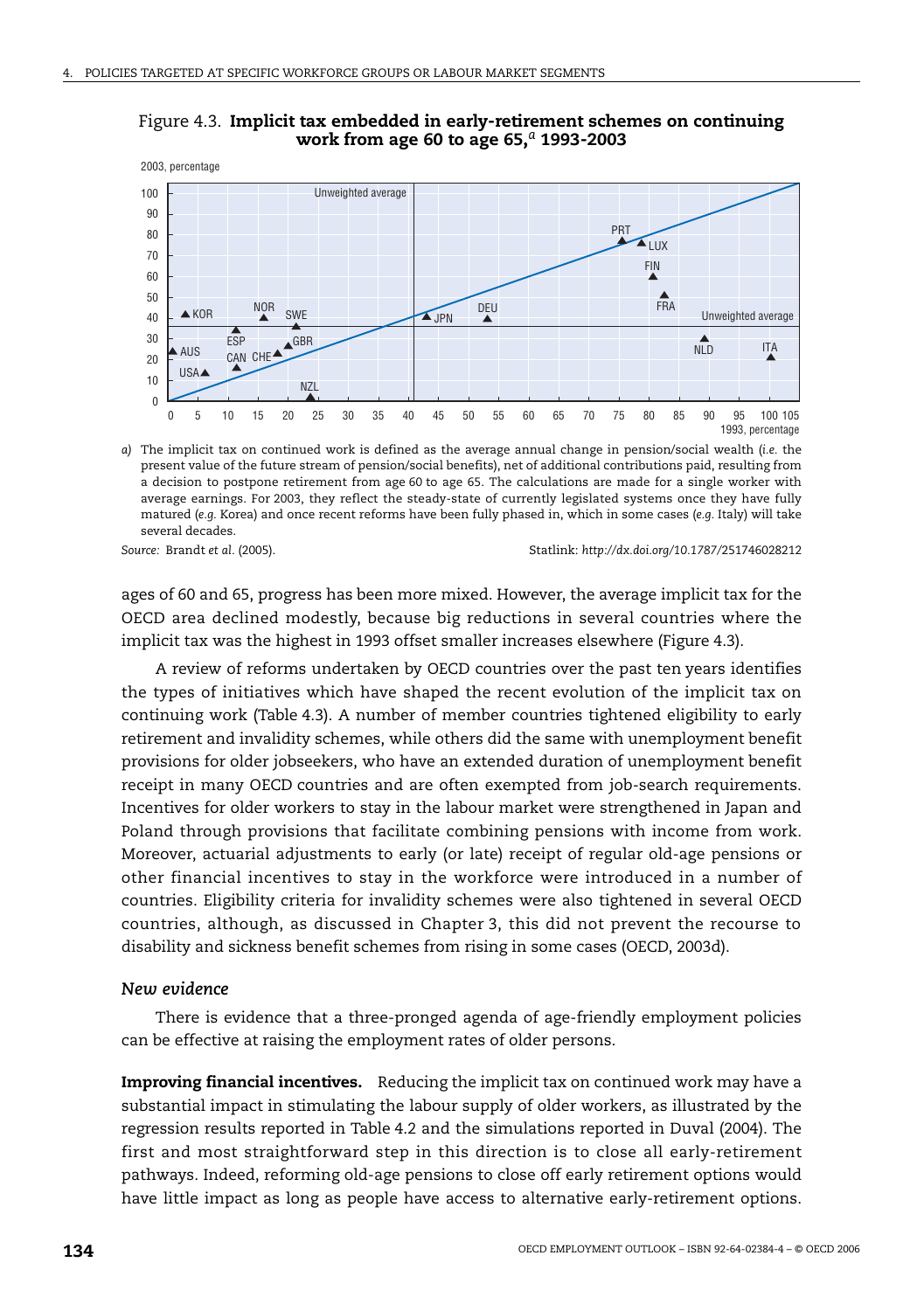

Figure 4.3. **Implicit tax embedded in early-retirement schemes on continuing work from age 60 to age 65,***a* **1993-2003**

*a)* The implicit tax on continued work is defined as the average annual change in pension/social wealth (*i.e.* the present value of the future stream of pension/social benefits), net of additional contributions paid, resulting from a decision to postpone retirement from age 60 to age 65. The calculations are made for a single worker with average earnings. For 2003, they reflect the steady-state of currently legislated systems once they have fully matured (*e.g.* Korea) and once recent reforms have been fully phased in, which in some cases (*e.g.* Italy) will take several decades.

ages of 60 and 65, progress has been more mixed. However, the average implicit tax for the OECD area declined modestly, because big reductions in several countries where the implicit tax was the highest in 1993 offset smaller increases elsewhere (Figure 4.3).

A review of reforms undertaken by OECD countries over the past ten years identifies the types of initiatives which have shaped the recent evolution of the implicit tax on continuing work (Table 4.3). A number of member countries tightened eligibility to early retirement and invalidity schemes, while others did the same with unemployment benefit provisions for older jobseekers, who have an extended duration of unemployment benefit receipt in many OECD countries and are often exempted from job-search requirements. Incentives for older workers to stay in the labour market were strengthened in Japan and Poland through provisions that facilitate combining pensions with income from work. Moreover, actuarial adjustments to early (or late) receipt of regular old-age pensions or other financial incentives to stay in the workforce were introduced in a number of countries. Eligibility criteria for invalidity schemes were also tightened in several OECD countries, although, as discussed in Chapter 3, this did not prevent the recourse to disability and sickness benefit schemes from rising in some cases (OECD, 2003d).

## *New evidence*

There is evidence that a three-pronged agenda of age-friendly employment policies can be effective at raising the employment rates of older persons.

**Improving financial incentives.** Reducing the implicit tax on continued work may have a substantial impact in stimulating the labour supply of older workers, as illustrated by the regression results reported in Table 4.2 and the simulations reported in Duval (2004). The first and most straightforward step in this direction is to close all early-retirement pathways. Indeed, reforming old-age pensions to close off early retirement options would have little impact as long as people have access to alternative early-retirement options.

*Source:* Brandt *et al.* (2005). Statlink: *http://dx.doi.org/10.1787/*251746028212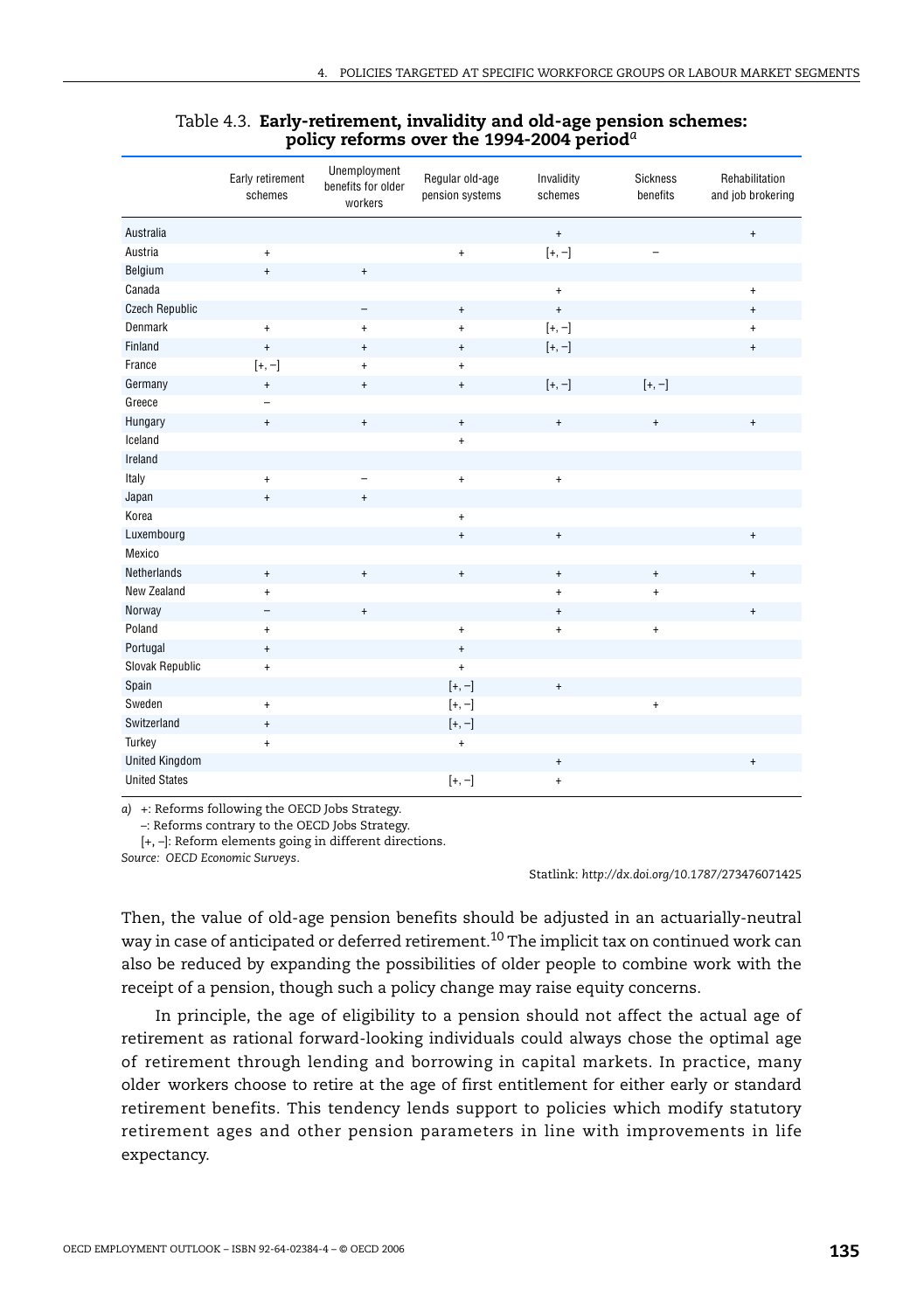|                       | Early retirement<br>schemes      | Unemployment<br>benefits for older<br>workers | Regular old-age<br>pension systems | Invalidity<br>schemes | <b>Sickness</b><br>benefits      | Rehabilitation<br>and job brokering |
|-----------------------|----------------------------------|-----------------------------------------------|------------------------------------|-----------------------|----------------------------------|-------------------------------------|
| Australia             |                                  |                                               |                                    | $\bf{+}$              |                                  | $\pmb{+}$                           |
| Austria               | $+$                              |                                               | $\boldsymbol{+}$                   | $[+, -]$              | $\overline{\phantom{0}}$         |                                     |
| Belgium               | $+$                              | $\ddot{}$                                     |                                    |                       |                                  |                                     |
| Canada                |                                  |                                               |                                    | $^{+}$                |                                  | $\pmb{+}$                           |
| <b>Czech Republic</b> |                                  | -                                             | $\boldsymbol{+}$                   | $\ddot{}$             |                                  | $\pmb{+}$                           |
| Denmark               | $+$                              | $\ddot{}$                                     | $\ddot{}$                          | $[+, -]$              |                                  | $\ddot{}$                           |
| Finland               | $\ddot{}$                        | $\begin{array}{c} + \end{array}$              | $\ddot{}$                          | $[+, -]$              |                                  | $\ddot{}$                           |
| France                | $[+, -]$                         | $\ddot{}$                                     | $\ddot{}$                          |                       |                                  |                                     |
| Germany               | $\ddot{}$                        | $\begin{array}{c} + \end{array}$              | $^{\mathrm{+}}$                    | $[+, -]$              | $[+, -]$                         |                                     |
| Greece                | $\overline{\phantom{0}}$         |                                               |                                    |                       |                                  |                                     |
| Hungary               | $+$                              | $\pmb{+}$                                     | $\ddot{}$                          | $\bf{+}$              | $\begin{array}{c} + \end{array}$ | $\ddot{}$                           |
| Iceland               |                                  |                                               | $\pmb{+}$                          |                       |                                  |                                     |
| Ireland               |                                  |                                               |                                    |                       |                                  |                                     |
| Italy                 | $\ddot{}$                        | $\overline{\phantom{0}}$                      | $\boldsymbol{+}$                   | $\bf{+}$              |                                  |                                     |
| Japan                 | $\begin{array}{c} + \end{array}$ | $\pmb{+}$                                     |                                    |                       |                                  |                                     |
| Korea                 |                                  |                                               | $\bf{+}$                           |                       |                                  |                                     |
| Luxembourg            |                                  |                                               | $\ddot{}$                          | $\ddot{}$             |                                  | $\ddot{}$                           |
| Mexico                |                                  |                                               |                                    |                       |                                  |                                     |
| Netherlands           | $+$                              | $\begin{array}{c} + \end{array}$              | $^{\mathrm{+}}$                    | $\ddot{}$             | $\boldsymbol{+}$                 | $\pmb{+}$                           |
| New Zealand           | $\ddot{}$                        |                                               |                                    | $\ddot{}$             | $\ddot{}$                        |                                     |
| Norway                | $\overline{\phantom{0}}$         | $\ddot{}$                                     |                                    | $\bf{+}$              |                                  | $\ddot{}$                           |
| Poland                | $^{+}$                           |                                               | $\boldsymbol{+}$                   | $\ddagger$            | $\boldsymbol{+}$                 |                                     |
| Portugal              | $+$                              |                                               | $\ddot{}$                          |                       |                                  |                                     |
| Slovak Republic       | $\ddot{}$                        |                                               | $\ddot{}$                          |                       |                                  |                                     |
| Spain                 |                                  |                                               | $[+, -]$                           | $\bf{+}$              |                                  |                                     |
| Sweden                | $\ddot{}$                        |                                               | $[+, -]$                           |                       | $\begin{array}{c} + \end{array}$ |                                     |
| Switzerland           | $\ddot{}$                        |                                               | $[+, -]$                           |                       |                                  |                                     |
| Turkey                | $+$                              |                                               | $\ddot{}$                          |                       |                                  |                                     |
| <b>United Kingdom</b> |                                  |                                               |                                    | $\bf{+}$              |                                  | $\pmb{+}$                           |
| <b>United States</b>  |                                  |                                               | $[+, -]$                           | $\ddot{}$             |                                  |                                     |

## Table 4.3. **Early-retirement, invalidity and old-age pension schemes: policy reforms over the 1994-2004 period***<sup>a</sup>*

*a)* +: Reforms following the OECD Jobs Strategy.

–: Reforms contrary to the OECD Jobs Strategy.

[+, –]: Reform elements going in different directions.

*Source: OECD Economic Surveys*.

Statlink: *http://dx.doi.org/10.1787/*273476071425

Then, the value of old-age pension benefits should be adjusted in an actuarially-neutral way in case of anticipated or deferred retirement.<sup>10</sup> The implicit tax on continued work can also be reduced by expanding the possibilities of older people to combine work with the receipt of a pension, though such a policy change may raise equity concerns.

In principle, the age of eligibility to a pension should not affect the actual age of retirement as rational forward-looking individuals could always chose the optimal age of retirement through lending and borrowing in capital markets. In practice, many older workers choose to retire at the age of first entitlement for either early or standard retirement benefits. This tendency lends support to policies which modify statutory retirement ages and other pension parameters in line with improvements in life expectancy.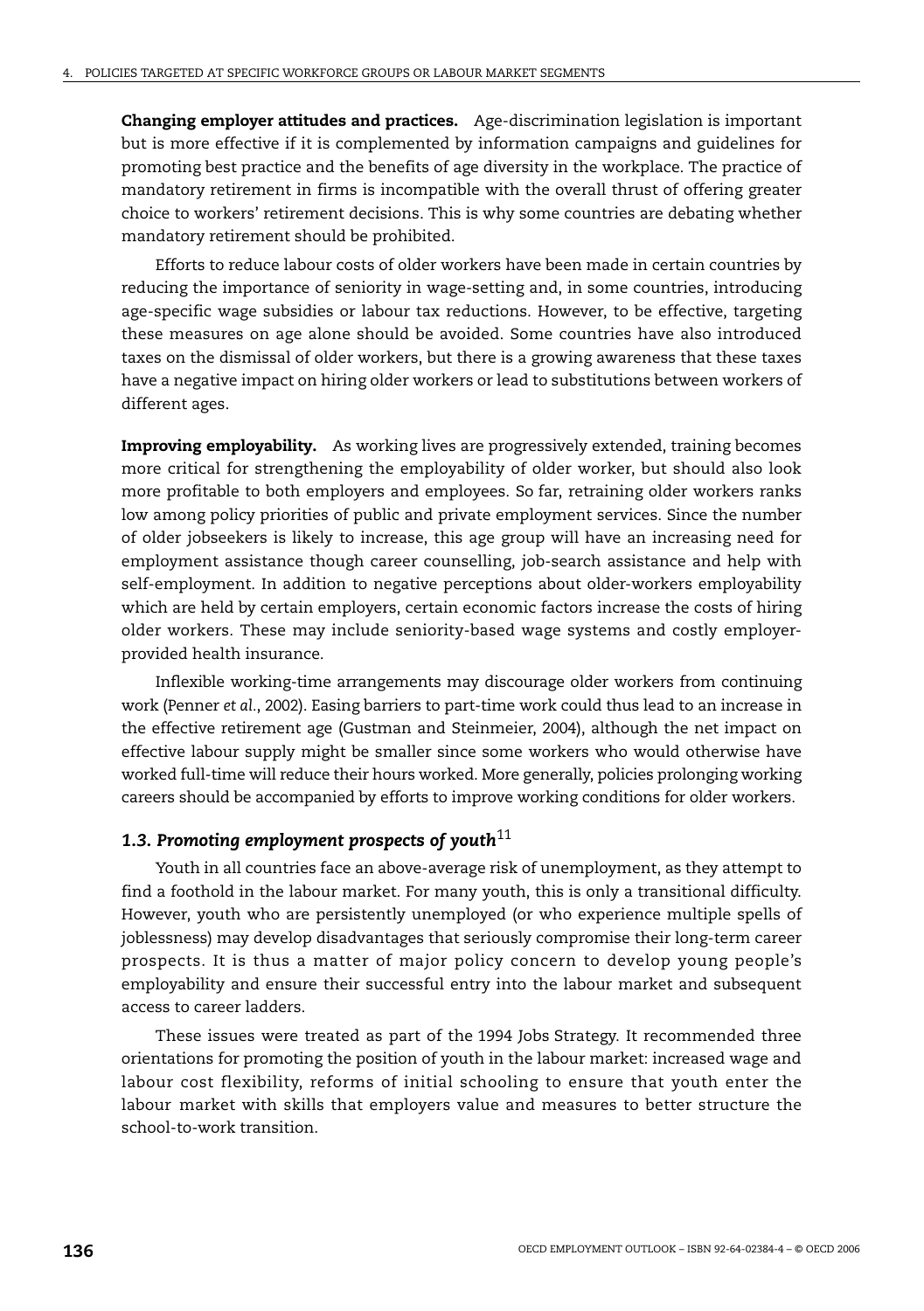**Changing employer attitudes and practices.** Age-discrimination legislation is important but is more effective if it is complemented by information campaigns and guidelines for promoting best practice and the benefits of age diversity in the workplace. The practice of mandatory retirement in firms is incompatible with the overall thrust of offering greater choice to workers' retirement decisions. This is why some countries are debating whether mandatory retirement should be prohibited.

Efforts to reduce labour costs of older workers have been made in certain countries by reducing the importance of seniority in wage-setting and, in some countries, introducing age-specific wage subsidies or labour tax reductions. However, to be effective, targeting these measures on age alone should be avoided. Some countries have also introduced taxes on the dismissal of older workers, but there is a growing awareness that these taxes have a negative impact on hiring older workers or lead to substitutions between workers of different ages.

**Improving employability.** As working lives are progressively extended, training becomes more critical for strengthening the employability of older worker, but should also look more profitable to both employers and employees. So far, retraining older workers ranks low among policy priorities of public and private employment services. Since the number of older jobseekers is likely to increase, this age group will have an increasing need for employment assistance though career counselling, job-search assistance and help with self-employment. In addition to negative perceptions about older-workers employability which are held by certain employers, certain economic factors increase the costs of hiring older workers. These may include seniority-based wage systems and costly employerprovided health insurance.

Inflexible working-time arrangements may discourage older workers from continuing work (Penner *et al.*, 2002). Easing barriers to part-time work could thus lead to an increase in the effective retirement age (Gustman and Steinmeier, 2004), although the net impact on effective labour supply might be smaller since some workers who would otherwise have worked full-time will reduce their hours worked. More generally, policies prolonging working careers should be accompanied by efforts to improve working conditions for older workers.

# 1.3. Promoting employment prospects of youth $^{11}$

Youth in all countries face an above-average risk of unemployment, as they attempt to find a foothold in the labour market. For many youth, this is only a transitional difficulty. However, youth who are persistently unemployed (or who experience multiple spells of joblessness) may develop disadvantages that seriously compromise their long-term career prospects. It is thus a matter of major policy concern to develop young people's employability and ensure their successful entry into the labour market and subsequent access to career ladders.

These issues were treated as part of the 1994 Jobs Strategy. It recommended three orientations for promoting the position of youth in the labour market: increased wage and labour cost flexibility, reforms of initial schooling to ensure that youth enter the labour market with skills that employers value and measures to better structure the school-to-work transition.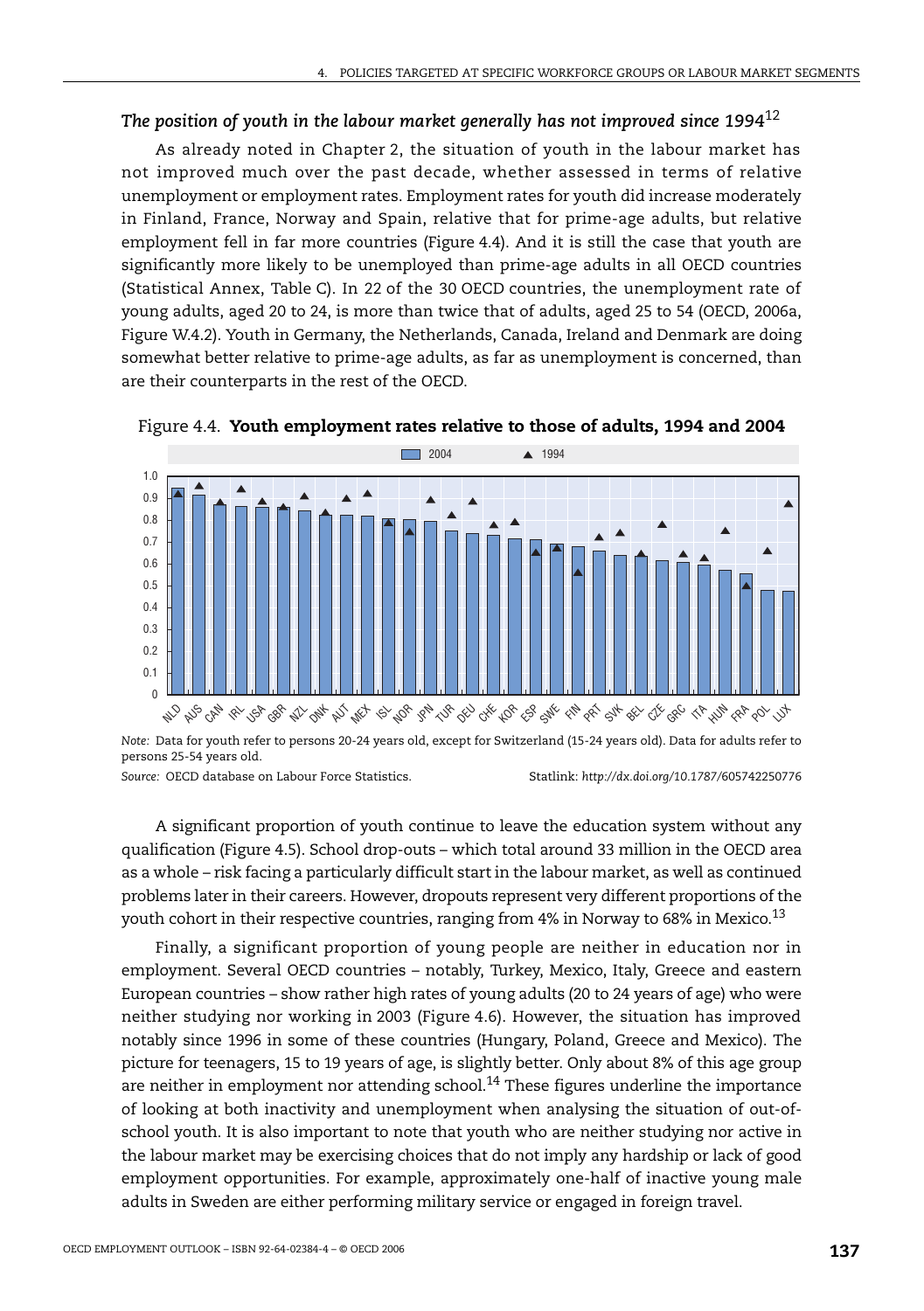# *The position of youth in the labour market generally has not improved since 1994*<sup>12</sup>

As already noted in Chapter 2, the situation of youth in the labour market has not improved much over the past decade, whether assessed in terms of relative unemployment or employment rates. Employment rates for youth did increase moderately in Finland, France, Norway and Spain, relative that for prime-age adults, but relative employment fell in far more countries (Figure 4.4). And it is still the case that youth are significantly more likely to be unemployed than prime-age adults in all OECD countries (Statistical Annex, Table C). In 22 of the 30 OECD countries, the unemployment rate of young adults, aged 20 to 24, is more than twice that of adults, aged 25 to 54 (OECD, 2006a, Figure W.4.2). Youth in Germany, the Netherlands, Canada, Ireland and Denmark are doing somewhat better relative to prime-age adults, as far as unemployment is concerned, than are their counterparts in the rest of the OECD.





*Note:* Data for youth refer to persons 20-24 years old, except for Switzerland (15-24 years old). Data for adults refer to persons 25-54 years old.

A significant proportion of youth continue to leave the education system without any qualification (Figure 4.5). School drop-outs – which total around 33 million in the OECD area as a whole – risk facing a particularly difficult start in the labour market, as well as continued problems later in their careers. However, dropouts represent very different proportions of the youth cohort in their respective countries, ranging from 4% in Norway to 68% in Mexico.<sup>13</sup>

Finally, a significant proportion of young people are neither in education nor in employment. Several OECD countries – notably, Turkey, Mexico, Italy, Greece and eastern European countries – show rather high rates of young adults (20 to 24 years of age) who were neither studying nor working in 2003 (Figure 4.6). However, the situation has improved notably since 1996 in some of these countries (Hungary, Poland, Greece and Mexico). The picture for teenagers, 15 to 19 years of age, is slightly better. Only about 8% of this age group are neither in employment nor attending school.<sup>14</sup> These figures underline the importance of looking at both inactivity and unemployment when analysing the situation of out-ofschool youth. It is also important to note that youth who are neither studying nor active in the labour market may be exercising choices that do not imply any hardship or lack of good employment opportunities. For example, approximately one-half of inactive young male adults in Sweden are either performing military service or engaged in foreign travel.

*Source:* OECD database on Labour Force Statistics. Statlink: *http://dx.doi.org/10.1787/*605742250776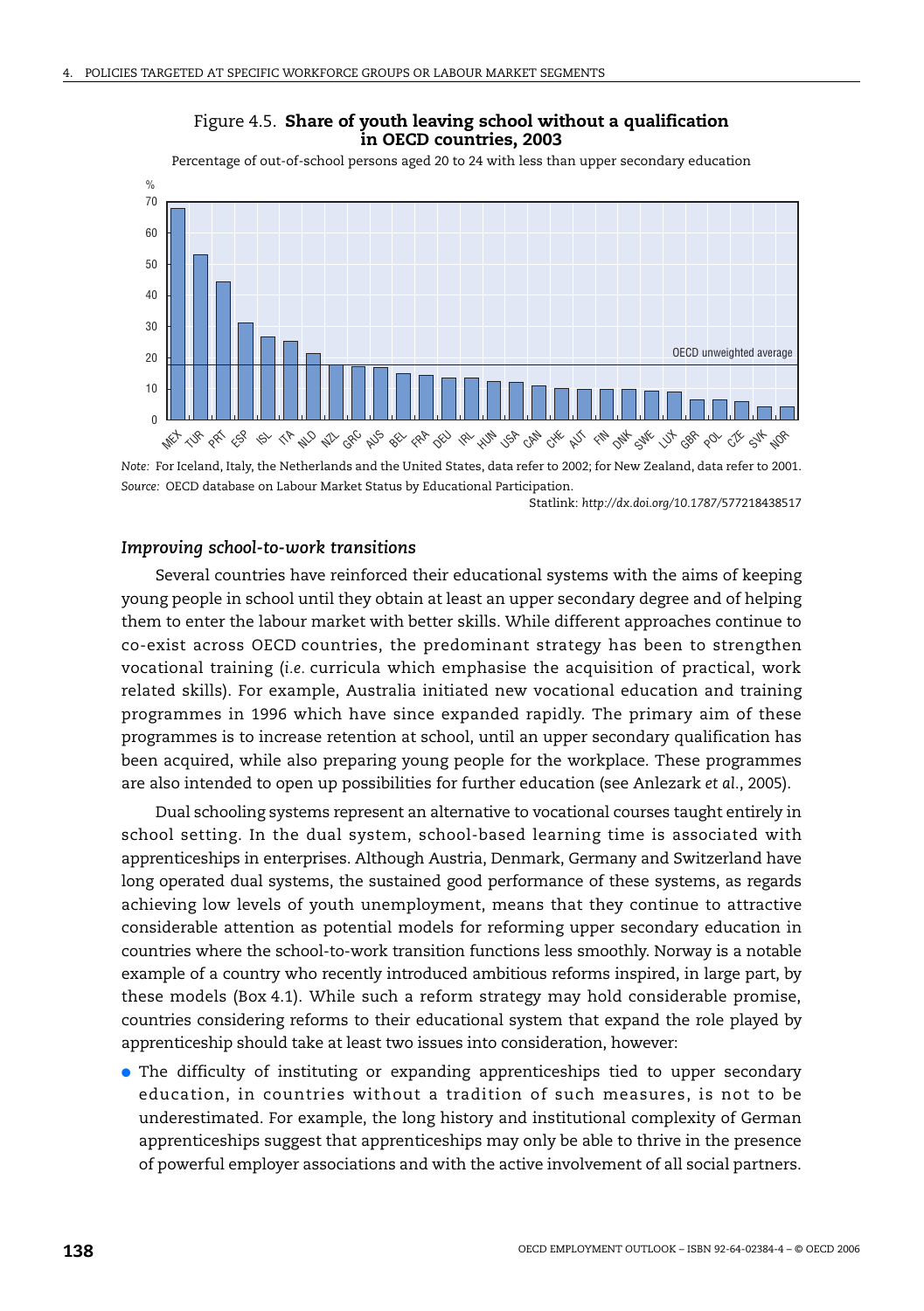

#### Figure 4.5. **Share of youth leaving school without a qualification in OECD countries, 2003**

*Note:* For Iceland, Italy, the Netherlands and the United States, data refer to 2002; for New Zealand, data refer to 2001. *Source:* OECD database on Labour Market Status by Educational Participation. Statlink: *http://dx.doi.org/10.1787/*577218438517

#### *Improving school-to-work transitions*

Several countries have reinforced their educational systems with the aims of keeping young people in school until they obtain at least an upper secondary degree and of helping them to enter the labour market with better skills. While different approaches continue to co-exist across OECD countries, the predominant strategy has been to strengthen vocational training (*i.e.* curricula which emphasise the acquisition of practical, work related skills). For example, Australia initiated new vocational education and training programmes in 1996 which have since expanded rapidly. The primary aim of these programmes is to increase retention at school, until an upper secondary qualification has been acquired, while also preparing young people for the workplace. These programmes are also intended to open up possibilities for further education (see Anlezark *et al.*, 2005).

Dual schooling systems represent an alternative to vocational courses taught entirely in school setting. In the dual system, school-based learning time is associated with apprenticeships in enterprises. Although Austria, Denmark, Germany and Switzerland have long operated dual systems, the sustained good performance of these systems, as regards achieving low levels of youth unemployment, means that they continue to attractive considerable attention as potential models for reforming upper secondary education in countries where the school-to-work transition functions less smoothly. Norway is a notable example of a country who recently introduced ambitious reforms inspired, in large part, by these models (Box 4.1). While such a reform strategy may hold considerable promise, countries considering reforms to their educational system that expand the role played by apprenticeship should take at least two issues into consideration, however:

● The difficulty of instituting or expanding apprenticeships tied to upper secondary education, in countries without a tradition of such measures, is not to be underestimated. For example, the long history and institutional complexity of German apprenticeships suggest that apprenticeships may only be able to thrive in the presence of powerful employer associations and with the active involvement of all social partners.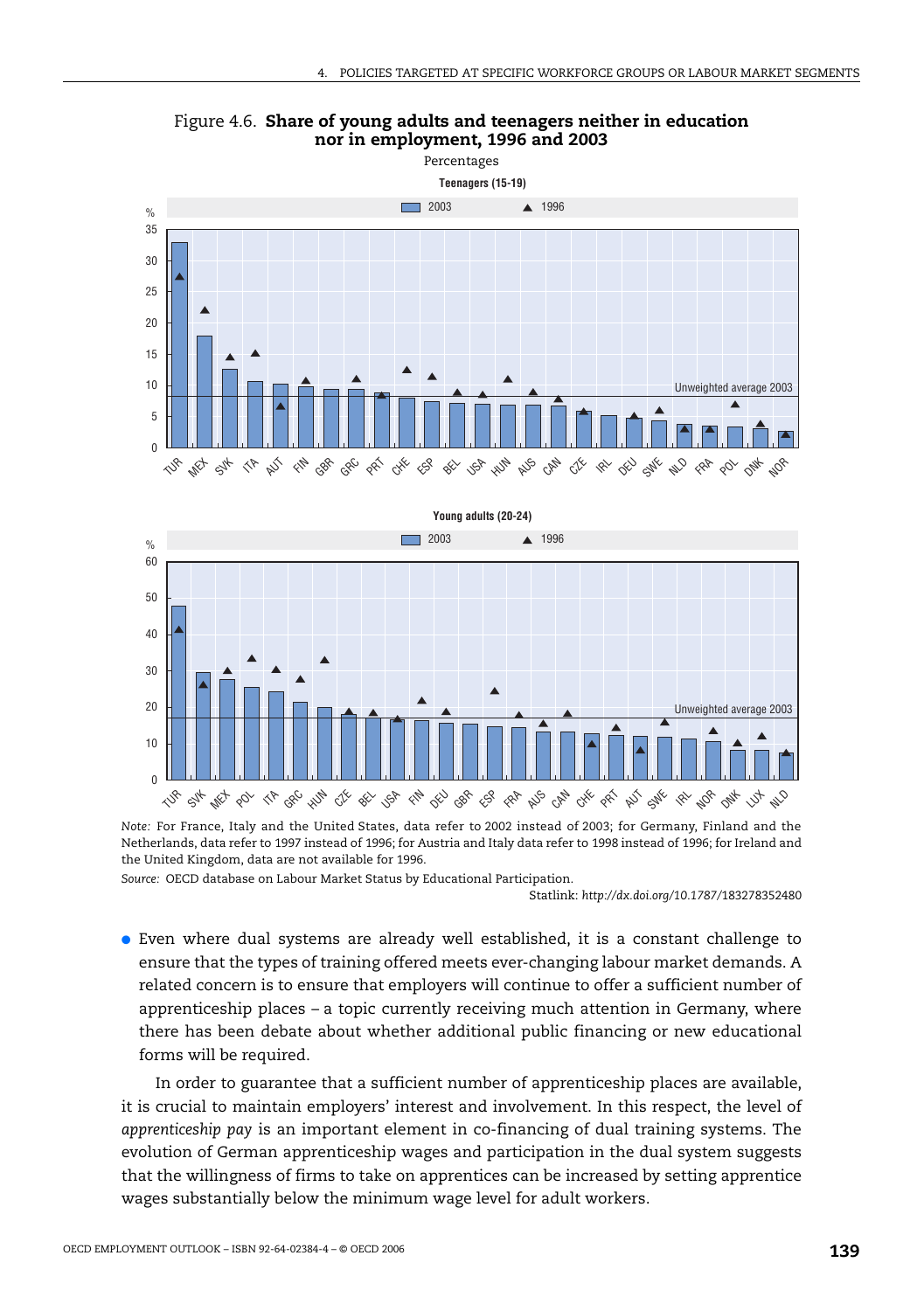

Figure 4.6. **Share of young adults and teenagers neither in education nor in employment, 1996 and 2003**

*Note:* For France, Italy and the United States, data refer to 2002 instead of 2003; for Germany, Finland and the Netherlands, data refer to 1997 instead of 1996; for Austria and Italy data refer to 1998 instead of 1996; for Ireland and the United Kingdom, data are not available for 1996.

*Source:* OECD database on Labour Market Status by Educational Participation.

Statlink: *http://dx.doi.org/10.1787/*183278352480

● Even where dual systems are already well established, it is a constant challenge to ensure that the types of training offered meets ever-changing labour market demands. A related concern is to ensure that employers will continue to offer a sufficient number of apprenticeship places – a topic currently receiving much attention in Germany, where there has been debate about whether additional public financing or new educational forms will be required.

In order to guarantee that a sufficient number of apprenticeship places are available, it is crucial to maintain employers' interest and involvement. In this respect, the level of *apprenticeship pay* is an important element in co-financing of dual training systems. The evolution of German apprenticeship wages and participation in the dual system suggests that the willingness of firms to take on apprentices can be increased by setting apprentice wages substantially below the minimum wage level for adult workers.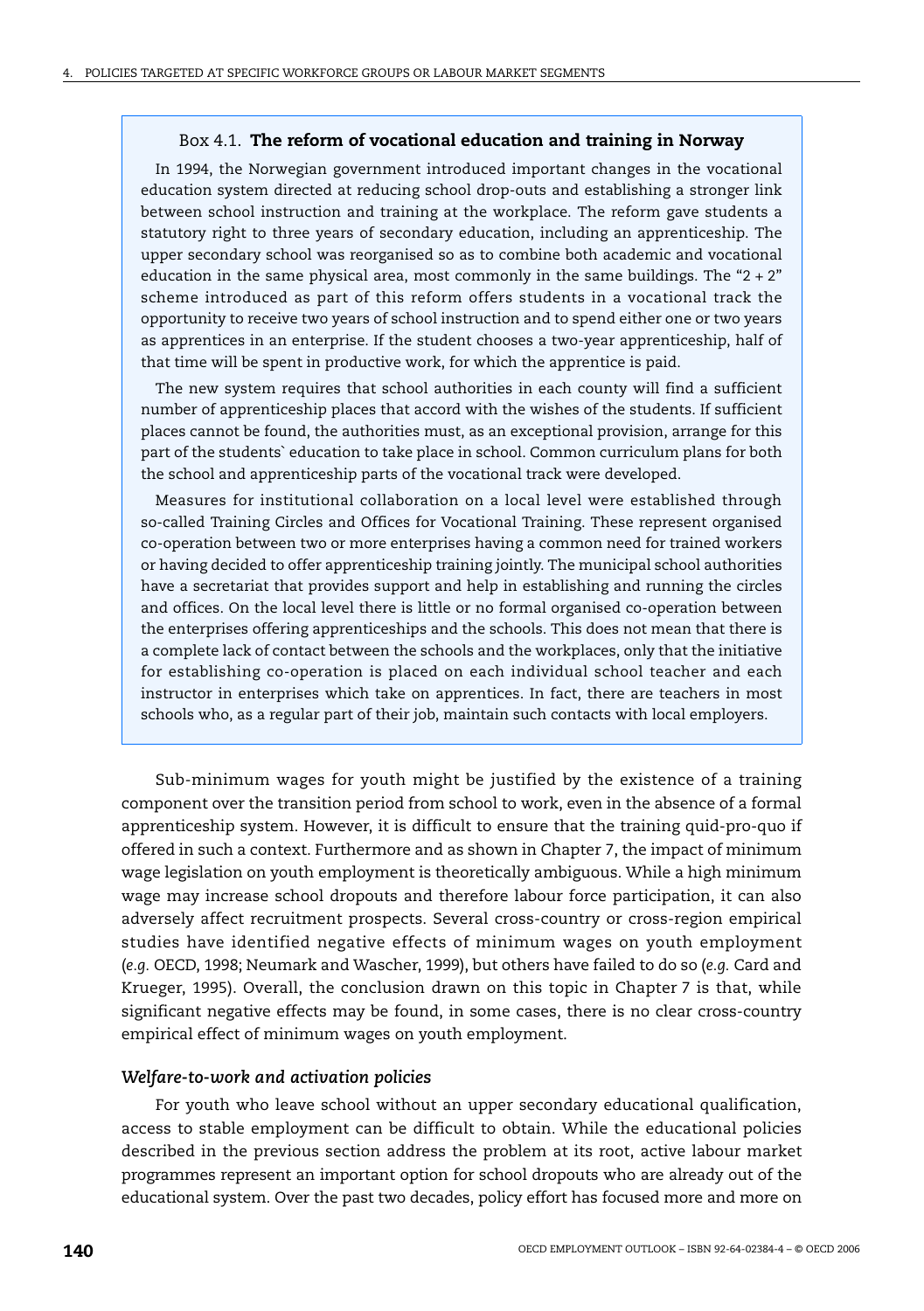# Box 4.1. **The reform of vocational education and training in Norway**

In 1994, the Norwegian government introduced important changes in the vocational education system directed at reducing school drop-outs and establishing a stronger link between school instruction and training at the workplace. The reform gave students a statutory right to three years of secondary education, including an apprenticeship. The upper secondary school was reorganised so as to combine both academic and vocational education in the same physical area, most commonly in the same buildings. The " $2 + 2$ " scheme introduced as part of this reform offers students in a vocational track the opportunity to receive two years of school instruction and to spend either one or two years as apprentices in an enterprise. If the student chooses a two-year apprenticeship, half of that time will be spent in productive work, for which the apprentice is paid.

The new system requires that school authorities in each county will find a sufficient number of apprenticeship places that accord with the wishes of the students. If sufficient places cannot be found, the authorities must, as an exceptional provision, arrange for this part of the students` education to take place in school. Common curriculum plans for both the school and apprenticeship parts of the vocational track were developed.

Measures for institutional collaboration on a local level were established through so-called Training Circles and Offices for Vocational Training. These represent organised co-operation between two or more enterprises having a common need for trained workers or having decided to offer apprenticeship training jointly. The municipal school authorities have a secretariat that provides support and help in establishing and running the circles and offices. On the local level there is little or no formal organised co-operation between the enterprises offering apprenticeships and the schools. This does not mean that there is a complete lack of contact between the schools and the workplaces, only that the initiative for establishing co-operation is placed on each individual school teacher and each instructor in enterprises which take on apprentices. In fact, there are teachers in most schools who, as a regular part of their job, maintain such contacts with local employers.

Sub-minimum wages for youth might be justified by the existence of a training component over the transition period from school to work, even in the absence of a formal apprenticeship system. However, it is difficult to ensure that the training quid-pro-quo if offered in such a context. Furthermore and as shown in Chapter 7, the impact of minimum wage legislation on youth employment is theoretically ambiguous. While a high minimum wage may increase school dropouts and therefore labour force participation, it can also adversely affect recruitment prospects. Several cross-country or cross-region empirical studies have identified negative effects of minimum wages on youth employment (*e.g.* OECD, 1998; Neumark and Wascher, 1999), but others have failed to do so (*e.g.* Card and Krueger, 1995). Overall, the conclusion drawn on this topic in Chapter 7 is that, while significant negative effects may be found, in some cases, there is no clear cross-country empirical effect of minimum wages on youth employment.

#### *Welfare-to-work and activation policies*

For youth who leave school without an upper secondary educational qualification, access to stable employment can be difficult to obtain. While the educational policies described in the previous section address the problem at its root, active labour market programmes represent an important option for school dropouts who are already out of the educational system. Over the past two decades, policy effort has focused more and more on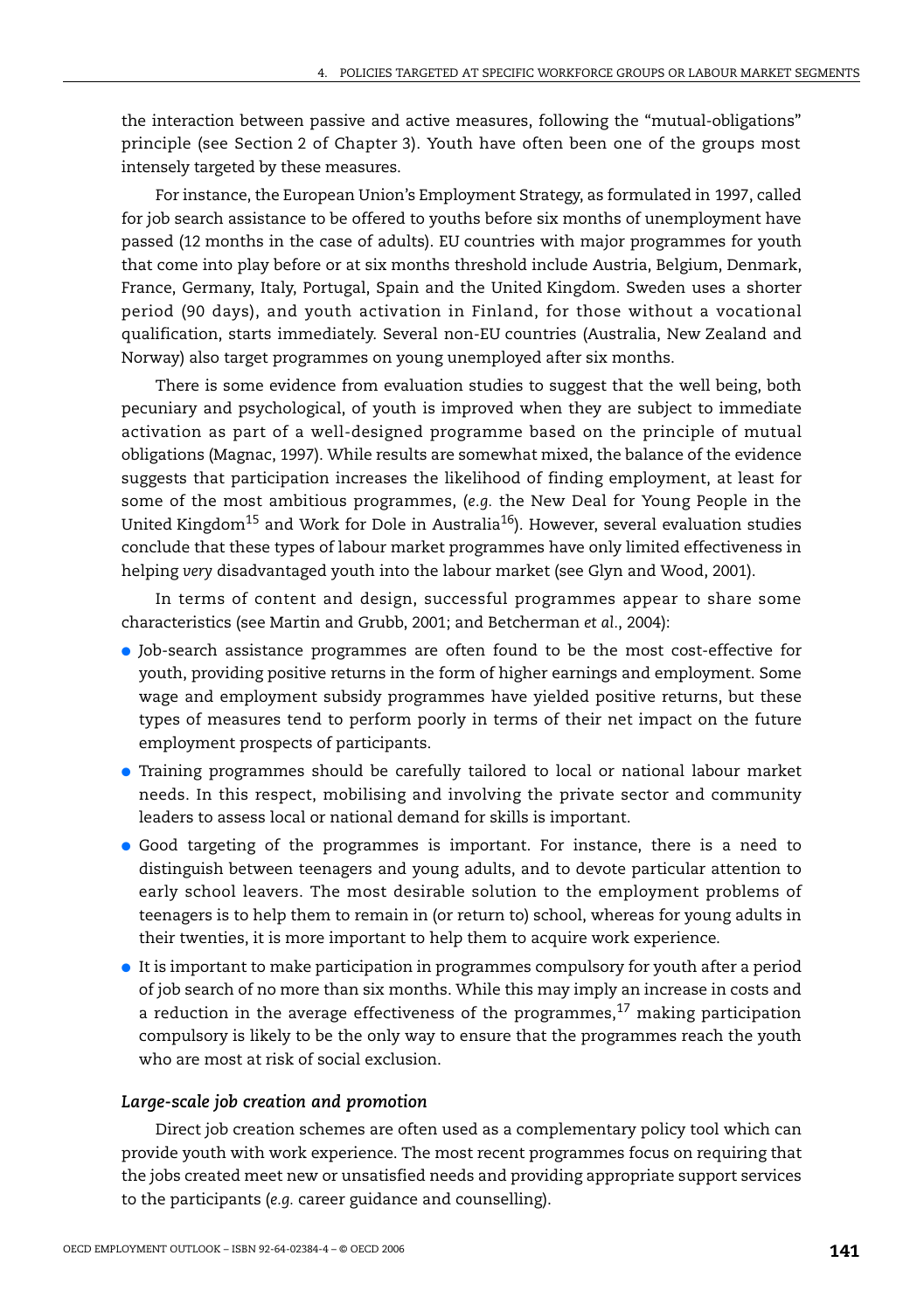the interaction between passive and active measures, following the "mutual-obligations" principle (see Section 2 of Chapter 3). Youth have often been one of the groups most intensely targeted by these measures.

For instance, the European Union's Employment Strategy, as formulated in 1997, called for job search assistance to be offered to youths before six months of unemployment have passed (12 months in the case of adults). EU countries with major programmes for youth that come into play before or at six months threshold include Austria, Belgium, Denmark, France, Germany, Italy, Portugal, Spain and the United Kingdom. Sweden uses a shorter period (90 days), and youth activation in Finland, for those without a vocational qualification, starts immediately. Several non-EU countries (Australia, New Zealand and Norway) also target programmes on young unemployed after six months.

There is some evidence from evaluation studies to suggest that the well being, both pecuniary and psychological, of youth is improved when they are subject to immediate activation as part of a well-designed programme based on the principle of mutual obligations (Magnac, 1997). While results are somewhat mixed, the balance of the evidence suggests that participation increases the likelihood of finding employment, at least for some of the most ambitious programmes, (*e.g.* the New Deal for Young People in the United Kingdom<sup>15</sup> and Work for Dole in Australia<sup>16</sup>). However, several evaluation studies conclude that these types of labour market programmes have only limited effectiveness in helping *very* disadvantaged youth into the labour market (see Glyn and Wood, 2001).

In terms of content and design, successful programmes appear to share some characteristics (see Martin and Grubb, 2001; and Betcherman *et al.*, 2004):

- Job-search assistance programmes are often found to be the most cost-effective for youth, providing positive returns in the form of higher earnings and employment. Some wage and employment subsidy programmes have yielded positive returns, but these types of measures tend to perform poorly in terms of their net impact on the future employment prospects of participants.
- Training programmes should be carefully tailored to local or national labour market needs. In this respect, mobilising and involving the private sector and community leaders to assess local or national demand for skills is important.
- Good targeting of the programmes is important. For instance, there is a need to distinguish between teenagers and young adults, and to devote particular attention to early school leavers. The most desirable solution to the employment problems of teenagers is to help them to remain in (or return to) school, whereas for young adults in their twenties, it is more important to help them to acquire work experience.
- It is important to make participation in programmes compulsory for youth after a period of job search of no more than six months. While this may imply an increase in costs and a reduction in the average effectiveness of the programmes,<sup>17</sup> making participation compulsory is likely to be the only way to ensure that the programmes reach the youth who are most at risk of social exclusion.

## *Large-scale job creation and promotion*

Direct job creation schemes are often used as a complementary policy tool which can provide youth with work experience. The most recent programmes focus on requiring that the jobs created meet new or unsatisfied needs and providing appropriate support services to the participants (*e.g.* career guidance and counselling).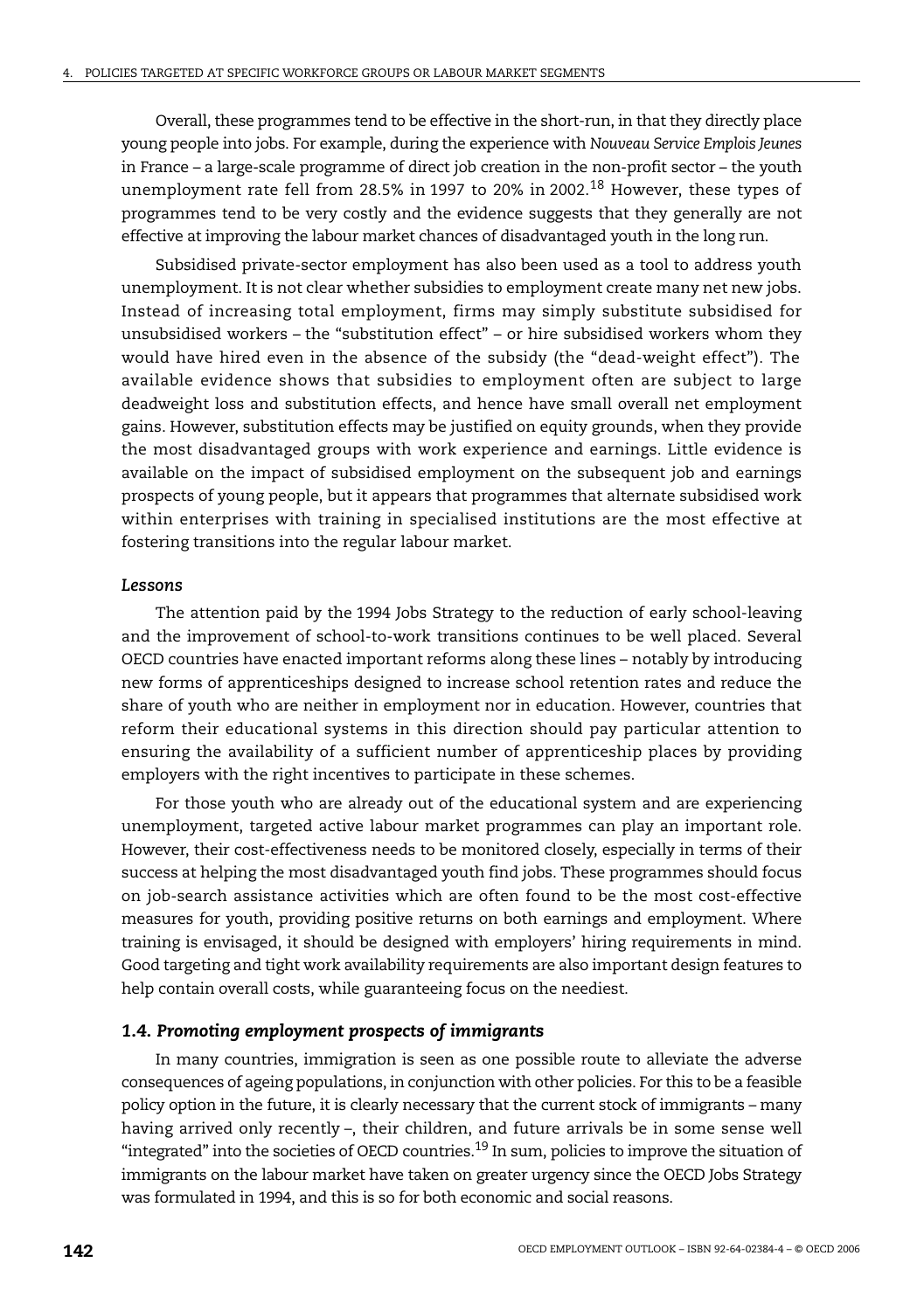Overall, these programmes tend to be effective in the short-run, in that they directly place young people into jobs. For example, during the experience with *Nouveau Service Emplois Jeunes* in France – a large-scale programme of direct job creation in the non-profit sector – the youth unemployment rate fell from 28.5% in 1997 to 20% in 2002.<sup>18</sup> However, these types of programmes tend to be very costly and the evidence suggests that they generally are not effective at improving the labour market chances of disadvantaged youth in the long run.

Subsidised private-sector employment has also been used as a tool to address youth unemployment. It is not clear whether subsidies to employment create many net new jobs. Instead of increasing total employment, firms may simply substitute subsidised for unsubsidised workers – the "substitution effect" – or hire subsidised workers whom they would have hired even in the absence of the subsidy (the "dead-weight effect"). The available evidence shows that subsidies to employment often are subject to large deadweight loss and substitution effects, and hence have small overall net employment gains. However, substitution effects may be justified on equity grounds, when they provide the most disadvantaged groups with work experience and earnings. Little evidence is available on the impact of subsidised employment on the subsequent job and earnings prospects of young people, but it appears that programmes that alternate subsidised work within enterprises with training in specialised institutions are the most effective at fostering transitions into the regular labour market.

#### *Lessons*

The attention paid by the 1994 Jobs Strategy to the reduction of early school-leaving and the improvement of school-to-work transitions continues to be well placed. Several OECD countries have enacted important reforms along these lines – notably by introducing new forms of apprenticeships designed to increase school retention rates and reduce the share of youth who are neither in employment nor in education. However, countries that reform their educational systems in this direction should pay particular attention to ensuring the availability of a sufficient number of apprenticeship places by providing employers with the right incentives to participate in these schemes.

For those youth who are already out of the educational system and are experiencing unemployment, targeted active labour market programmes can play an important role. However, their cost-effectiveness needs to be monitored closely, especially in terms of their success at helping the most disadvantaged youth find jobs. These programmes should focus on job-search assistance activities which are often found to be the most cost-effective measures for youth, providing positive returns on both earnings and employment. Where training is envisaged, it should be designed with employers' hiring requirements in mind. Good targeting and tight work availability requirements are also important design features to help contain overall costs, while guaranteeing focus on the neediest.

## *1.4. Promoting employment prospects of immigrants*

In many countries, immigration is seen as one possible route to alleviate the adverse consequences of ageing populations, in conjunction with other policies. For this to be a feasible policy option in the future, it is clearly necessary that the current stock of immigrants – many having arrived only recently –, their children, and future arrivals be in some sense well "integrated" into the societies of OECD countries.<sup>19</sup> In sum, policies to improve the situation of immigrants on the labour market have taken on greater urgency since the OECD Jobs Strategy was formulated in 1994, and this is so for both economic and social reasons.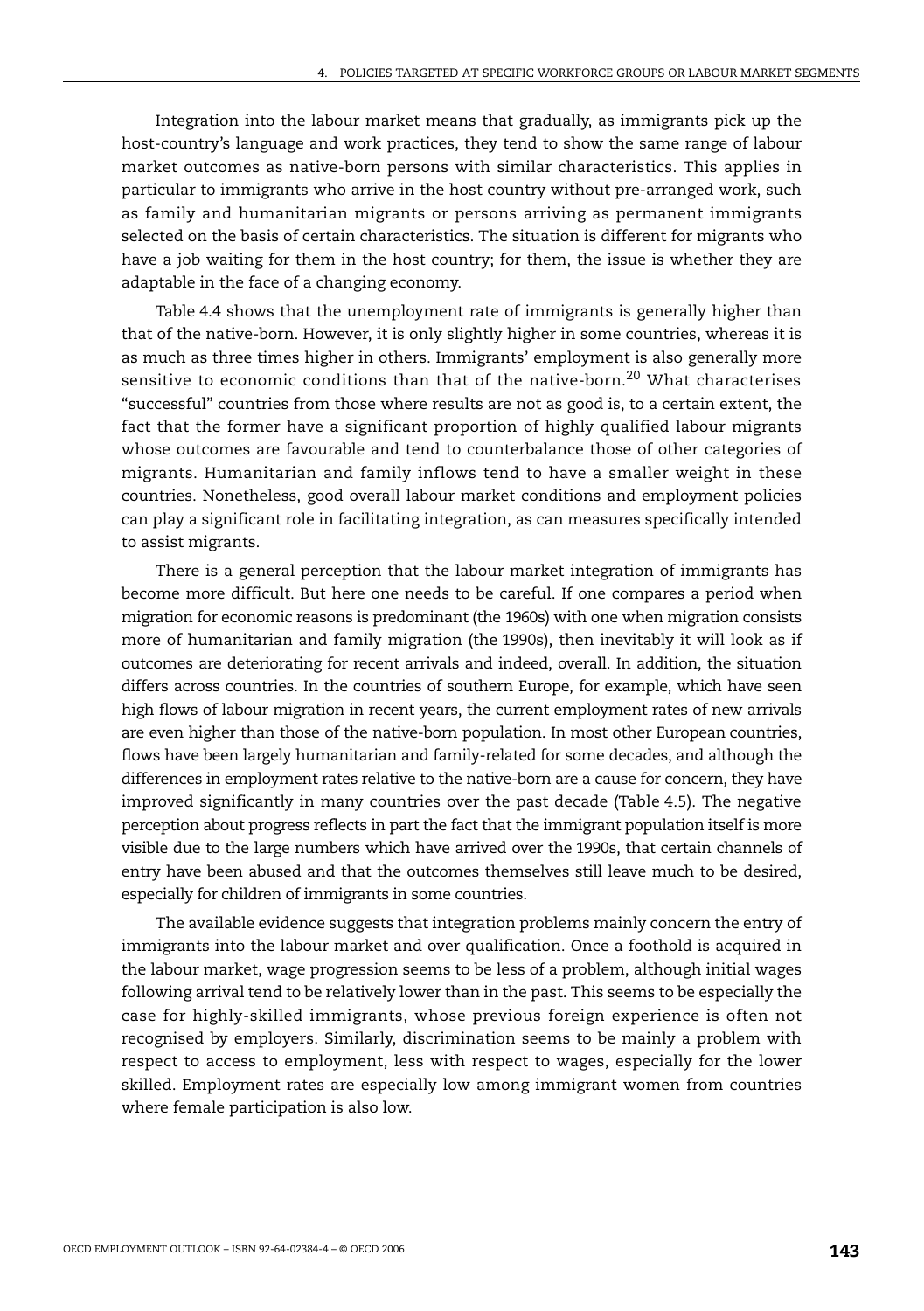Integration into the labour market means that gradually, as immigrants pick up the host-country's language and work practices, they tend to show the same range of labour market outcomes as native-born persons with similar characteristics. This applies in particular to immigrants who arrive in the host country without pre-arranged work, such as family and humanitarian migrants or persons arriving as permanent immigrants selected on the basis of certain characteristics. The situation is different for migrants who have a job waiting for them in the host country; for them, the issue is whether they are adaptable in the face of a changing economy.

Table 4.4 shows that the unemployment rate of immigrants is generally higher than that of the native-born. However, it is only slightly higher in some countries, whereas it is as much as three times higher in others. Immigrants' employment is also generally more sensitive to economic conditions than that of the native-born.<sup>20</sup> What characterises "successful" countries from those where results are not as good is, to a certain extent, the fact that the former have a significant proportion of highly qualified labour migrants whose outcomes are favourable and tend to counterbalance those of other categories of migrants. Humanitarian and family inflows tend to have a smaller weight in these countries. Nonetheless, good overall labour market conditions and employment policies can play a significant role in facilitating integration, as can measures specifically intended to assist migrants.

There is a general perception that the labour market integration of immigrants has become more difficult. But here one needs to be careful. If one compares a period when migration for economic reasons is predominant (the 1960s) with one when migration consists more of humanitarian and family migration (the 1990s), then inevitably it will look as if outcomes are deteriorating for recent arrivals and indeed, overall. In addition, the situation differs across countries. In the countries of southern Europe, for example, which have seen high flows of labour migration in recent years, the current employment rates of new arrivals are even higher than those of the native-born population. In most other European countries, flows have been largely humanitarian and family-related for some decades, and although the differences in employment rates relative to the native-born are a cause for concern, they have improved significantly in many countries over the past decade (Table 4.5). The negative perception about progress reflects in part the fact that the immigrant population itself is more visible due to the large numbers which have arrived over the 1990s, that certain channels of entry have been abused and that the outcomes themselves still leave much to be desired, especially for children of immigrants in some countries.

The available evidence suggests that integration problems mainly concern the entry of immigrants into the labour market and over qualification. Once a foothold is acquired in the labour market, wage progression seems to be less of a problem, although initial wages following arrival tend to be relatively lower than in the past. This seems to be especially the case for highly-skilled immigrants, whose previous foreign experience is often not recognised by employers. Similarly, discrimination seems to be mainly a problem with respect to access to employment, less with respect to wages, especially for the lower skilled. Employment rates are especially low among immigrant women from countries where female participation is also low.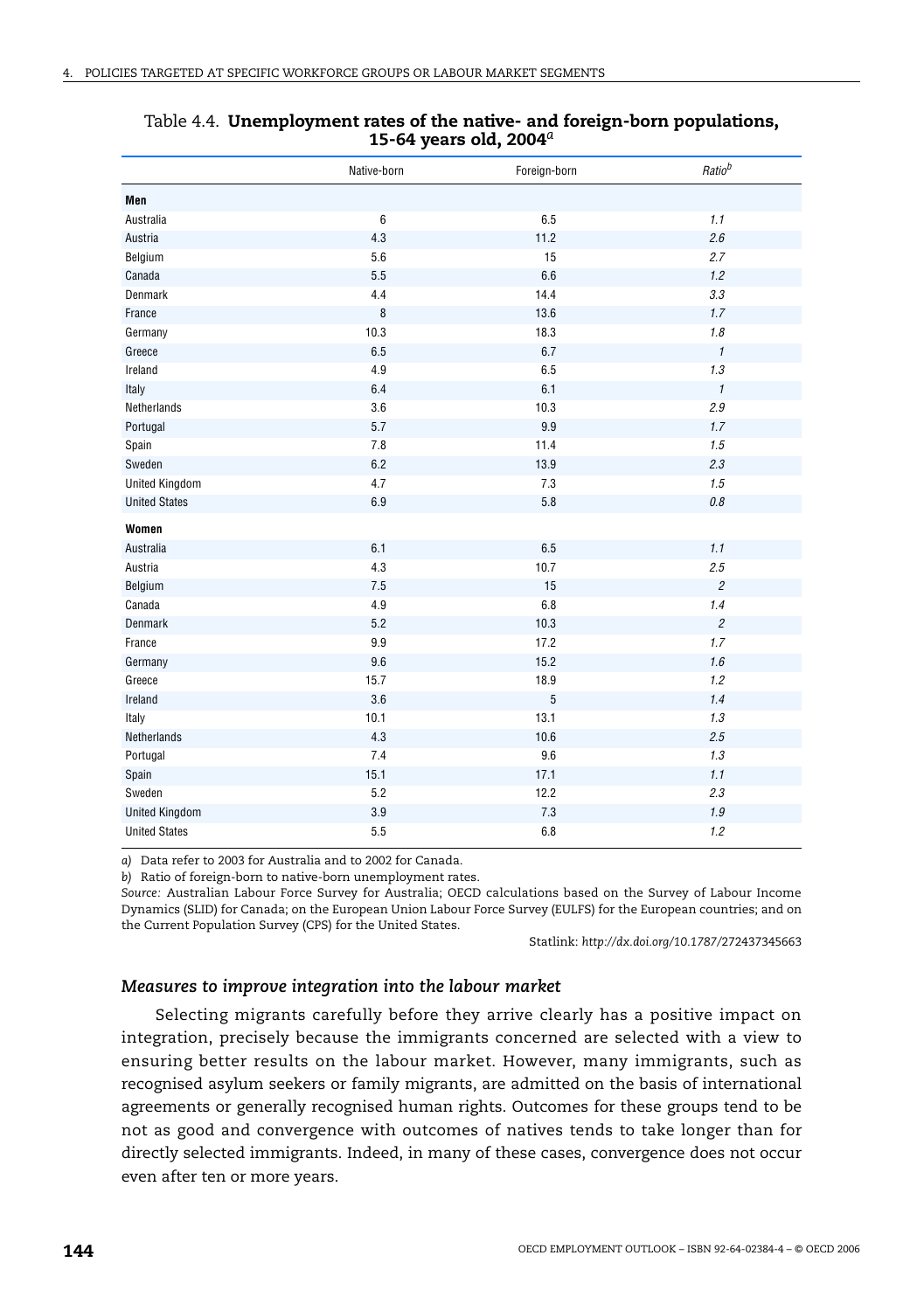|                       | Native-born | Foreign-born | Ratio <sup>b</sup> |
|-----------------------|-------------|--------------|--------------------|
| Men                   |             |              |                    |
| Australia             | 6           | 6.5          | 1.1                |
| Austria               | 4.3         | 11.2         | 2.6                |
| Belgium               | 5.6         | 15           | 2.7                |
| Canada                | 5.5         | 6.6          | 1.2                |
| Denmark               | 4.4         | 14.4         | 3.3                |
| France                | 8           | 13.6         | 1.7                |
| Germany               | 10.3        | 18.3         | 1.8                |
| Greece                | 6.5         | 6.7          | $\mathcal{I}$      |
| Ireland               | 4.9         | 6.5          | $1.3\,$            |
| Italy                 | 6.4         | 6.1          | $\mathcal{I}$      |
| Netherlands           | 3.6         | 10.3         | 2.9                |
| Portugal              | 5.7         | 9.9          | $1.7\,$            |
| Spain                 | 7.8         | 11.4         | 1.5                |
| Sweden                | 6.2         | 13.9         | 2.3                |
| <b>United Kingdom</b> | 4.7         | 7.3          | $1.5\,$            |
| <b>United States</b>  | 6.9         | 5.8          | $0.8\,$            |
| Women                 |             |              |                    |
| Australia             | 6.1         | 6.5          | 1.1                |
| Austria               | 4.3         | 10.7         | 2.5                |
| Belgium               | 7.5         | 15           | $\overline{c}$     |
| Canada                | 4.9         | 6.8          | 1.4                |
| Denmark               | 5.2         | 10.3         | $\overline{2}$     |
| France                | 9.9         | 17.2         | 1.7                |
| Germany               | 9.6         | 15.2         | 1.6                |
| Greece                | 15.7        | 18.9         | 1.2                |
| Ireland               | 3.6         | $\sqrt{5}$   | 1.4                |
| Italy                 | 10.1        | 13.1         | 1.3                |
| Netherlands           | 4.3         | 10.6         | 2.5                |
| Portugal              | 7.4         | 9.6          | 1.3                |
| Spain                 | 15.1        | 17.1         | 1.1                |
| Sweden                | 5.2         | 12.2         | 2.3                |
| <b>United Kingdom</b> | 3.9         | 7.3          | $1.9\,$            |
| <b>United States</b>  | 5.5         | 6.8          | 1.2                |

## Table 4.4. **Unemployment rates of the native- and foreign-born populations, 15-64 years old, 2004***<sup>a</sup>*

*a)* Data refer to 2003 for Australia and to 2002 for Canada.

*b)* Ratio of foreign-born to native-born unemployment rates.

*Source:* Australian Labour Force Survey for Australia; OECD calculations based on the Survey of Labour Income Dynamics (SLID) for Canada; on the European Union Labour Force Survey (EULFS) for the European countries; and on the Current Population Survey (CPS) for the United States.

Statlink: *http://dx.doi.org/10.1787/*272437345663

## *Measures to improve integration into the labour market*

Selecting migrants carefully before they arrive clearly has a positive impact on integration, precisely because the immigrants concerned are selected with a view to ensuring better results on the labour market. However, many immigrants, such as recognised asylum seekers or family migrants, are admitted on the basis of international agreements or generally recognised human rights. Outcomes for these groups tend to be not as good and convergence with outcomes of natives tends to take longer than for directly selected immigrants. Indeed, in many of these cases, convergence does not occur even after ten or more years.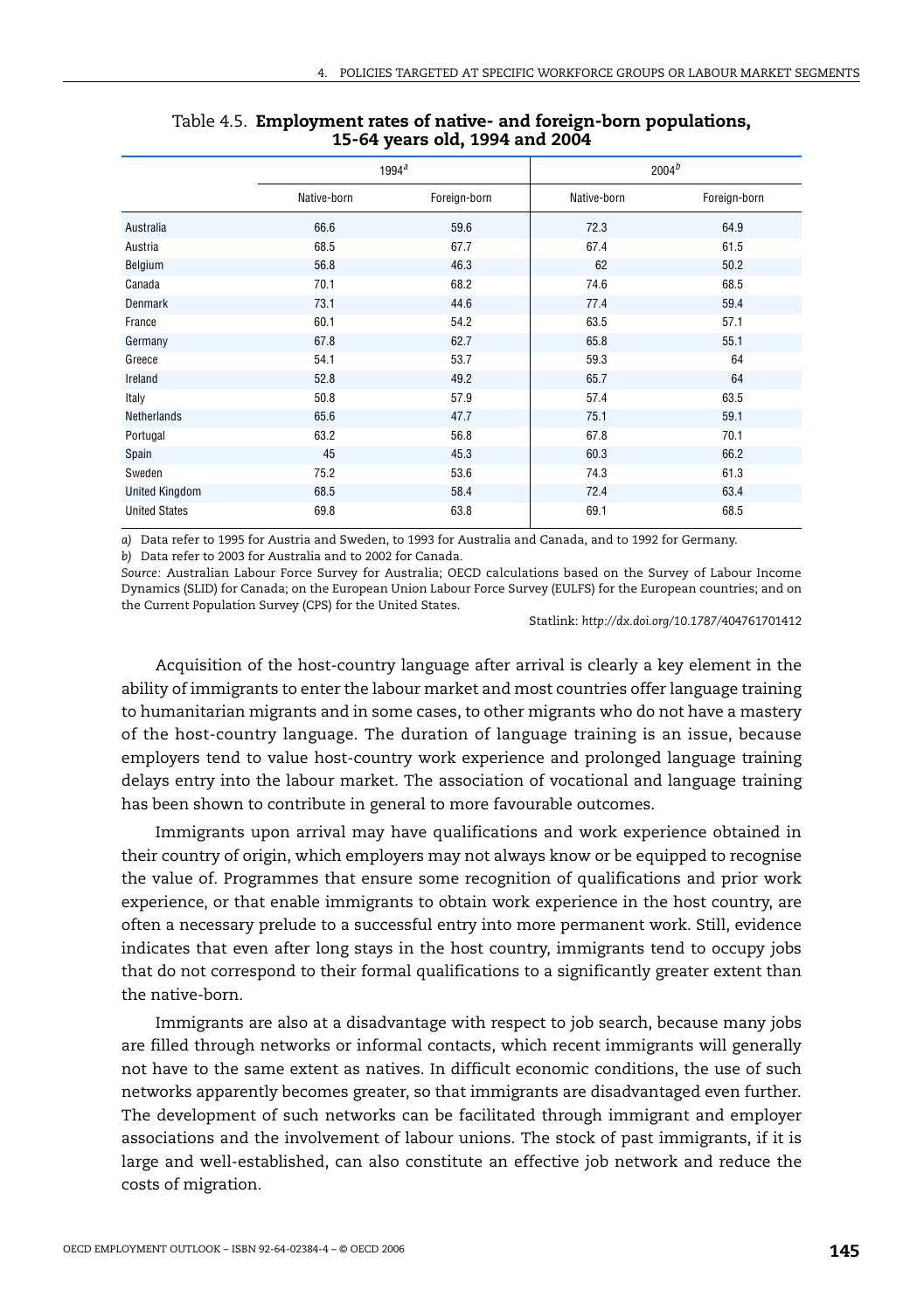|                       | 1994 <sup>a</sup> |              | $2004^{b}$  |              |  |
|-----------------------|-------------------|--------------|-------------|--------------|--|
|                       | Native-born       | Foreign-born | Native-born | Foreign-born |  |
| Australia             | 66.6              | 59.6         | 72.3        | 64.9         |  |
| Austria               | 68.5              | 67.7         | 67.4        | 61.5         |  |
| Belgium               | 56.8              | 46.3         | 62          | 50.2         |  |
| Canada                | 70.1              | 68.2         | 74.6        | 68.5         |  |
| <b>Denmark</b>        | 73.1              | 44.6         | 77.4        | 59.4         |  |
| France                | 60.1              | 54.2         | 63.5        | 57.1         |  |
| Germany               | 67.8              | 62.7         | 65.8        | 55.1         |  |
| Greece                | 54.1              | 53.7         | 59.3        | 64           |  |
| Ireland               | 52.8              | 49.2         | 65.7        | 64           |  |
| Italy                 | 50.8              | 57.9         | 57.4        | 63.5         |  |
| <b>Netherlands</b>    | 65.6              | 47.7         | 75.1        | 59.1         |  |
| Portugal              | 63.2              | 56.8         | 67.8        | 70.1         |  |
| Spain                 | 45                | 45.3         | 60.3        | 66.2         |  |
| Sweden                | 75.2              | 53.6         | 74.3        | 61.3         |  |
| <b>United Kingdom</b> | 68.5              | 58.4         | 72.4        | 63.4         |  |
| <b>United States</b>  | 69.8              | 63.8         | 69.1        | 68.5         |  |

Table 4.5. **Employment rates of native- and foreign-born populations, 15-64 years old, 1994 and 2004**

*a)* Data refer to 1995 for Austria and Sweden, to 1993 for Australia and Canada, and to 1992 for Germany. *b)* Data refer to 2003 for Australia and to 2002 for Canada.

*Source:* Australian Labour Force Survey for Australia; OECD calculations based on the Survey of Labour Income Dynamics (SLID) for Canada; on the European Union Labour Force Survey (EULFS) for the European countries; and on the Current Population Survey (CPS) for the United States.

Statlink: *http://dx.doi.org/10.1787/*404761701412

Acquisition of the host-country language after arrival is clearly a key element in the ability of immigrants to enter the labour market and most countries offer language training to humanitarian migrants and in some cases, to other migrants who do not have a mastery of the host-country language. The duration of language training is an issue, because employers tend to value host-country work experience and prolonged language training delays entry into the labour market. The association of vocational and language training has been shown to contribute in general to more favourable outcomes.

Immigrants upon arrival may have qualifications and work experience obtained in their country of origin, which employers may not always know or be equipped to recognise the value of. Programmes that ensure some recognition of qualifications and prior work experience, or that enable immigrants to obtain work experience in the host country, are often a necessary prelude to a successful entry into more permanent work. Still, evidence indicates that even after long stays in the host country, immigrants tend to occupy jobs that do not correspond to their formal qualifications to a significantly greater extent than the native-born.

Immigrants are also at a disadvantage with respect to job search, because many jobs are filled through networks or informal contacts, which recent immigrants will generally not have to the same extent as natives. In difficult economic conditions, the use of such networks apparently becomes greater, so that immigrants are disadvantaged even further. The development of such networks can be facilitated through immigrant and employer associations and the involvement of labour unions. The stock of past immigrants, if it is large and well-established, can also constitute an effective job network and reduce the costs of migration.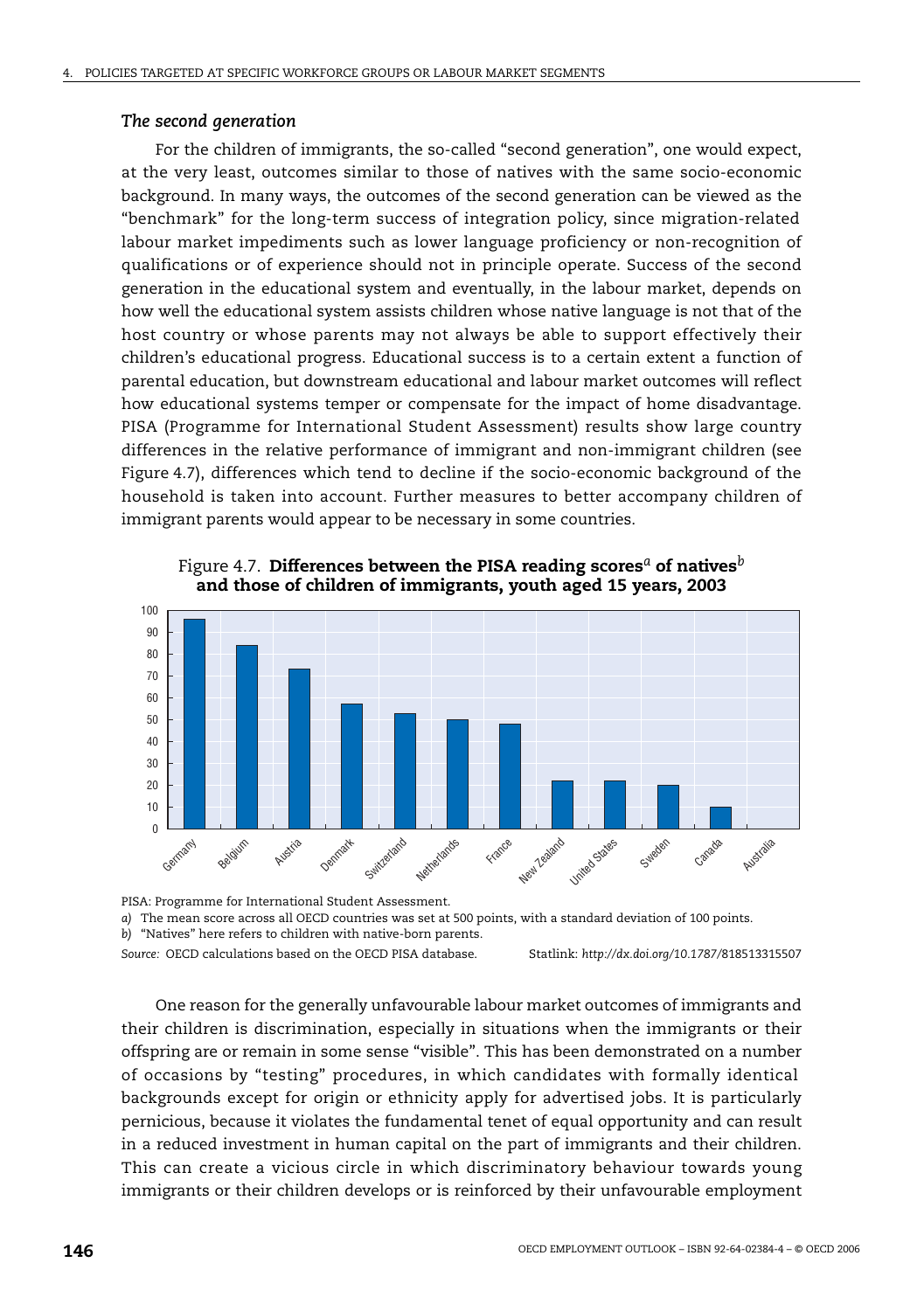# *The second generation*

For the children of immigrants, the so-called "second generation", one would expect, at the very least, outcomes similar to those of natives with the same socio-economic background. In many ways, the outcomes of the second generation can be viewed as the "benchmark" for the long-term success of integration policy, since migration-related labour market impediments such as lower language proficiency or non-recognition of qualifications or of experience should not in principle operate. Success of the second generation in the educational system and eventually, in the labour market, depends on how well the educational system assists children whose native language is not that of the host country or whose parents may not always be able to support effectively their children's educational progress. Educational success is to a certain extent a function of parental education, but downstream educational and labour market outcomes will reflect how educational systems temper or compensate for the impact of home disadvantage. PISA (Programme for International Student Assessment) results show large country differences in the relative performance of immigrant and non-immigrant children (see Figure 4.7), differences which tend to decline if the socio-economic background of the household is taken into account. Further measures to better accompany children of immigrant parents would appear to be necessary in some countries.



Figure 4.7. **Differences between the PISA reading scores***a* **of natives***<sup>b</sup>* **and those of children of immigrants, youth aged 15 years, 2003**

PISA: Programme for International Student Assessment.

*a)* The mean score across all OECD countries was set at 500 points, with a standard deviation of 100 points.

*b)* "Natives" here refers to children with native-born parents.

*Source:* OECD calculations based on the OECD PISA database. Statlink: *http://dx.doi.org/10.1787/*818513315507

One reason for the generally unfavourable labour market outcomes of immigrants and their children is discrimination, especially in situations when the immigrants or their offspring are or remain in some sense "visible". This has been demonstrated on a number of occasions by "testing" procedures, in which candidates with formally identical backgrounds except for origin or ethnicity apply for advertised jobs. It is particularly pernicious, because it violates the fundamental tenet of equal opportunity and can result in a reduced investment in human capital on the part of immigrants and their children. This can create a vicious circle in which discriminatory behaviour towards young immigrants or their children develops or is reinforced by their unfavourable employment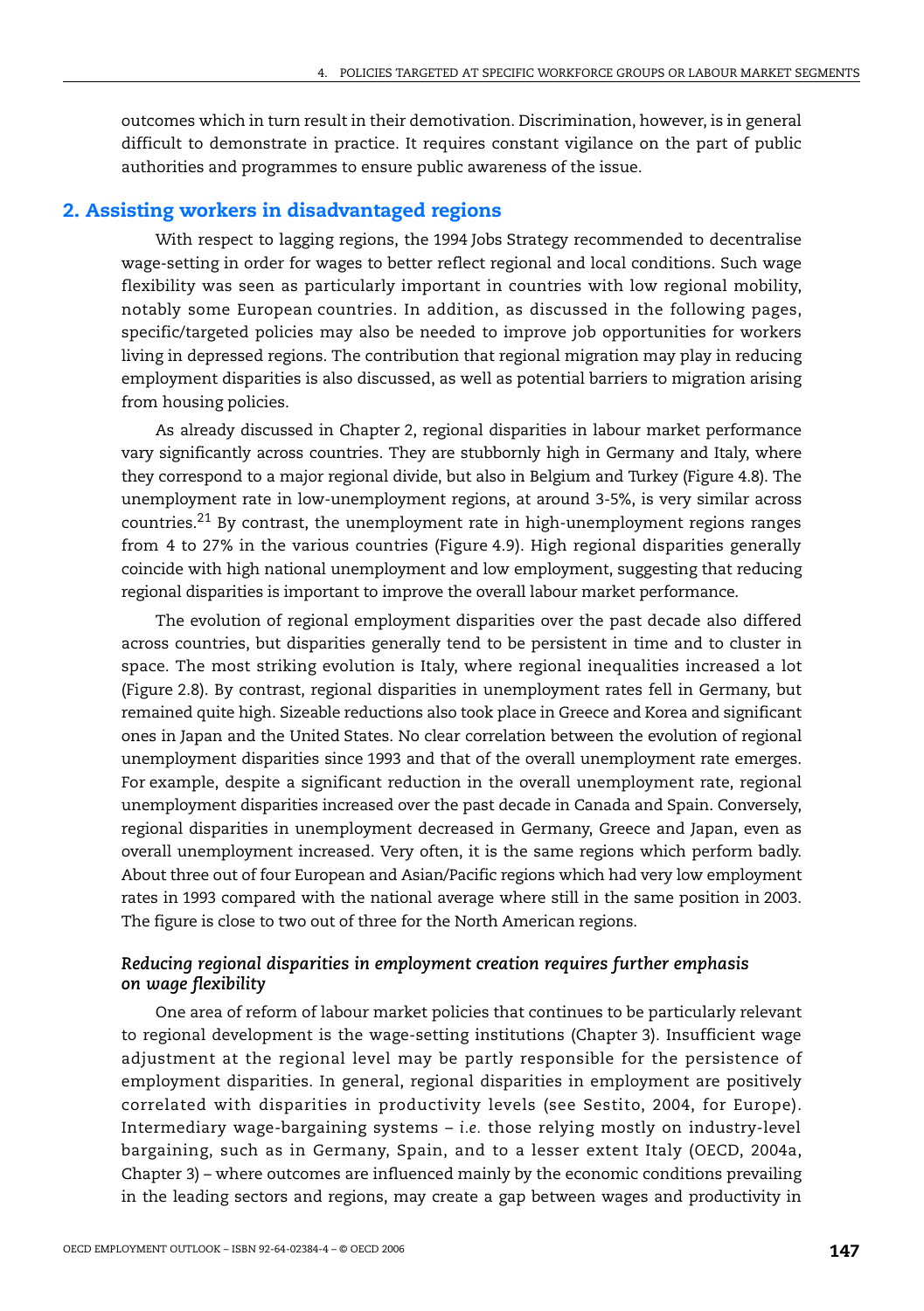outcomes which in turn result in their demotivation. Discrimination, however, is in general difficult to demonstrate in practice. It requires constant vigilance on the part of public authorities and programmes to ensure public awareness of the issue.

# **2. Assisting workers in disadvantaged regions**

With respect to lagging regions, the 1994 Jobs Strategy recommended to decentralise wage-setting in order for wages to better reflect regional and local conditions. Such wage flexibility was seen as particularly important in countries with low regional mobility, notably some European countries. In addition, as discussed in the following pages, specific/targeted policies may also be needed to improve job opportunities for workers living in depressed regions. The contribution that regional migration may play in reducing employment disparities is also discussed, as well as potential barriers to migration arising from housing policies.

As already discussed in Chapter 2, regional disparities in labour market performance vary significantly across countries. They are stubbornly high in Germany and Italy, where they correspond to a major regional divide, but also in Belgium and Turkey (Figure 4.8). The unemployment rate in low-unemployment regions, at around 3-5%, is very similar across countries. $21$  By contrast, the unemployment rate in high-unemployment regions ranges from 4 to 27% in the various countries (Figure 4.9). High regional disparities generally coincide with high national unemployment and low employment, suggesting that reducing regional disparities is important to improve the overall labour market performance.

The evolution of regional employment disparities over the past decade also differed across countries, but disparities generally tend to be persistent in time and to cluster in space. The most striking evolution is Italy, where regional inequalities increased a lot (Figure 2.8). By contrast, regional disparities in unemployment rates fell in Germany, but remained quite high. Sizeable reductions also took place in Greece and Korea and significant ones in Japan and the United States. No clear correlation between the evolution of regional unemployment disparities since 1993 and that of the overall unemployment rate emerges. For example, despite a significant reduction in the overall unemployment rate, regional unemployment disparities increased over the past decade in Canada and Spain. Conversely, regional disparities in unemployment decreased in Germany, Greece and Japan, even as overall unemployment increased. Very often, it is the same regions which perform badly. About three out of four European and Asian/Pacific regions which had very low employment rates in 1993 compared with the national average where still in the same position in 2003. The figure is close to two out of three for the North American regions.

# *Reducing regional disparities in employment creation requires further emphasis on wage flexibility*

One area of reform of labour market policies that continues to be particularly relevant to regional development is the wage-setting institutions (Chapter 3). Insufficient wage adjustment at the regional level may be partly responsible for the persistence of employment disparities. In general, regional disparities in employment are positively correlated with disparities in productivity levels (see Sestito, 2004, for Europe). Intermediary wage-bargaining systems – *i.e.* those relying mostly on industry-level bargaining, such as in Germany, Spain, and to a lesser extent Italy (OECD, 2004a, Chapter 3) – where outcomes are influenced mainly by the economic conditions prevailing in the leading sectors and regions, may create a gap between wages and productivity in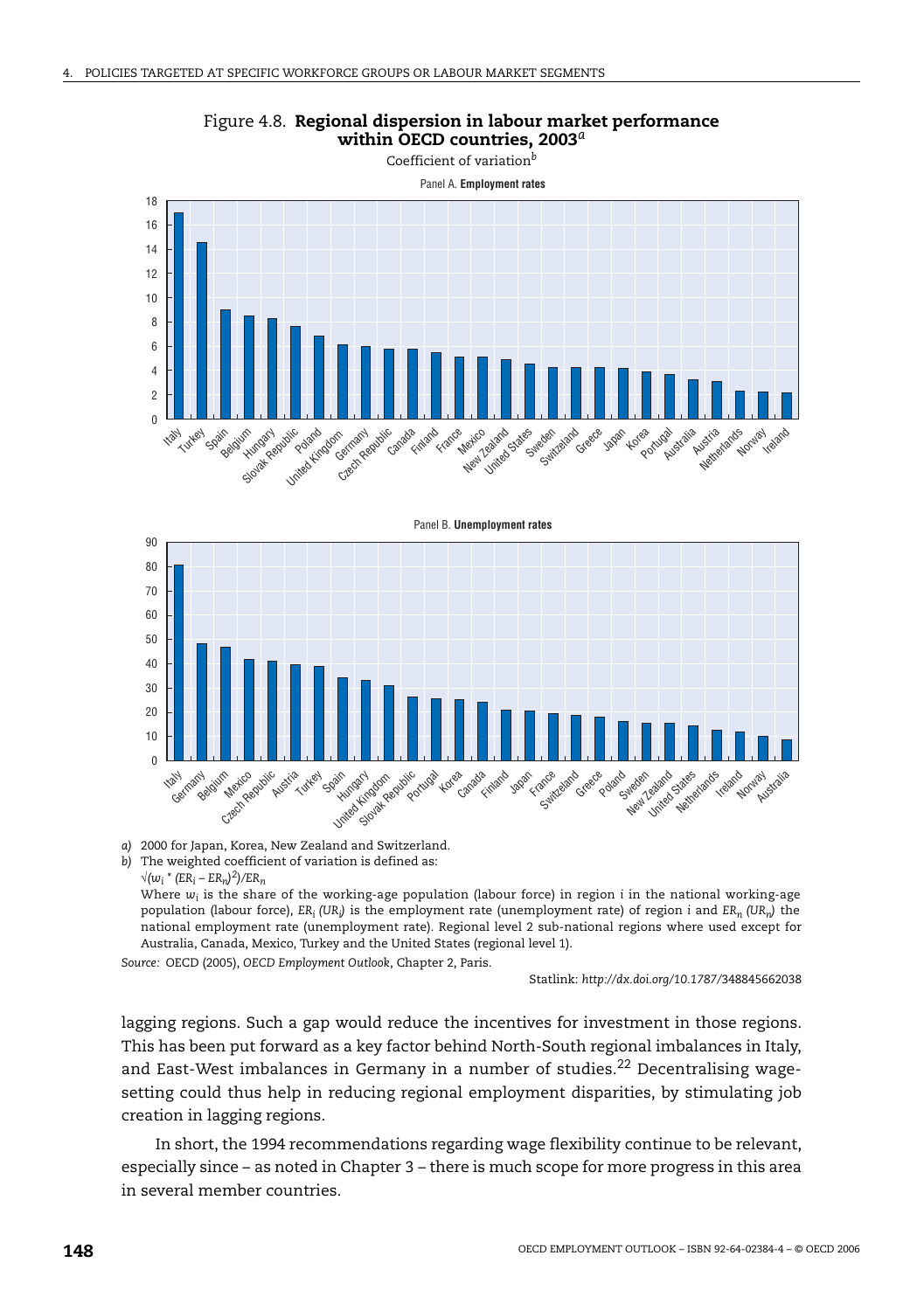





*a)* 2000 for Japan, Korea, New Zealand and Switzerland.

*b)* The weighted coefficient of variation is defined as:

 $\sqrt{(w_i * (ER_i - ER_n)^2)/ER_n}$ 

Where *wi* is the share of the working-age population (labour force) in region *i* in the national working-age population (labour force), *ERi (URi )* is the employment rate (unemployment rate) of region *i* and *ERn (URn)* the national employment rate (unemployment rate). Regional level 2 sub-national regions where used except for Australia, Canada, Mexico, Turkey and the United States (regional level 1).

*Source:* OECD (2005), *OECD Employment Outlook*, Chapter 2, Paris.

Statlink: *http://dx.doi.org/10.1787/*348845662038

lagging regions. Such a gap would reduce the incentives for investment in those regions. This has been put forward as a key factor behind North-South regional imbalances in Italy, and East-West imbalances in Germany in a number of studies.<sup>22</sup> Decentralising wagesetting could thus help in reducing regional employment disparities, by stimulating job creation in lagging regions.

In short, the 1994 recommendations regarding wage flexibility continue to be relevant, especially since – as noted in Chapter 3 – there is much scope for more progress in this area in several member countries.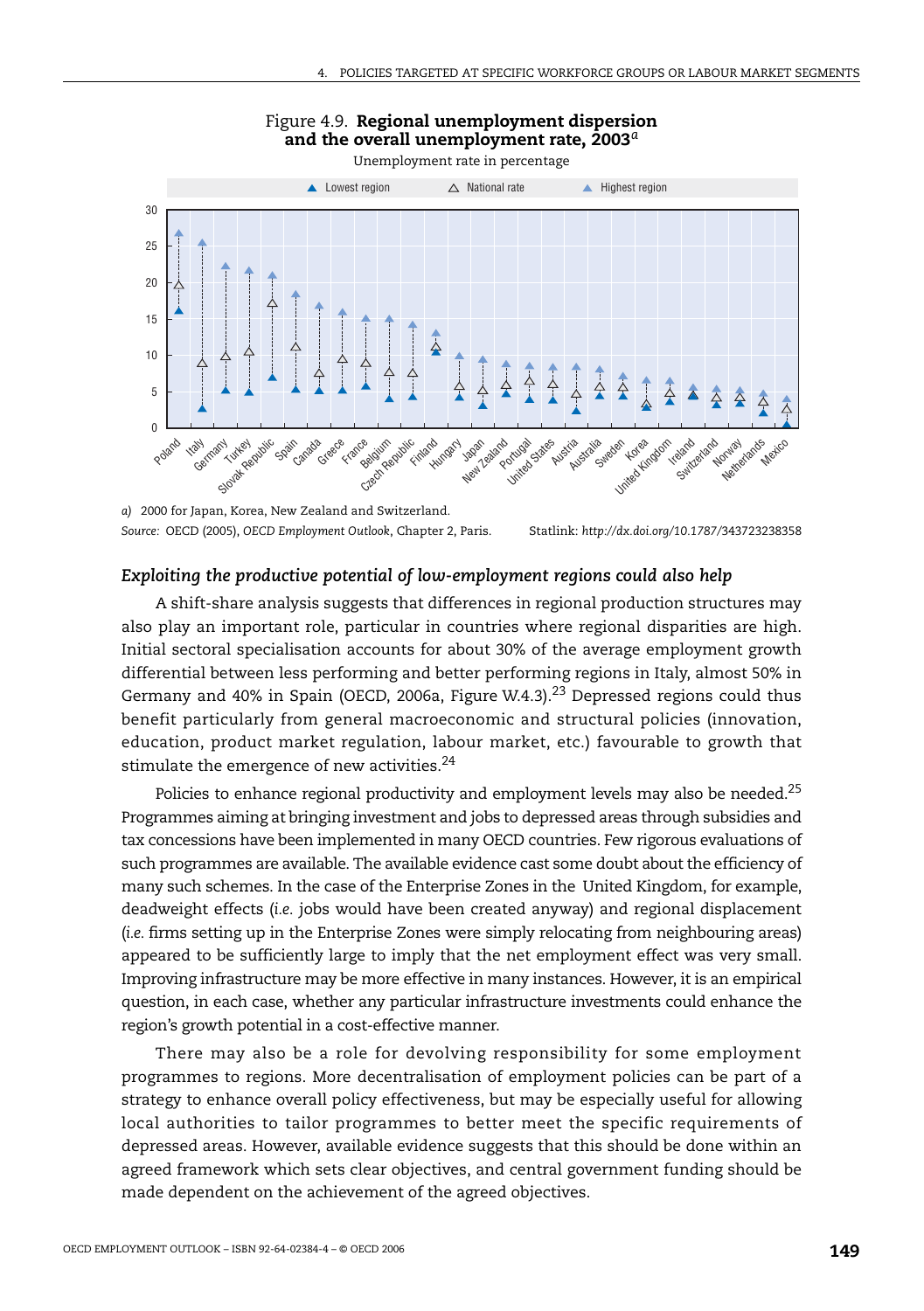

# Figure 4.9. **Regional unemployment dispersion and the overall unemployment rate, 2003***<sup>a</sup>*

*a)* 2000 for Japan, Korea, New Zealand and Switzerland. *Source:* OECD (2005), *OECD Employment Outlook*, Chapter 2, Paris. Statlink: *http://dx.doi.org/10.1787/*343723238358

#### *Exploiting the productive potential of low-employment regions could also help*

A shift-share analysis suggests that differences in regional production structures may also play an important role, particular in countries where regional disparities are high. Initial sectoral specialisation accounts for about 30% of the average employment growth differential between less performing and better performing regions in Italy, almost 50% in Germany and 40% in Spain (OECD, 2006a, Figure W.4.3).<sup>23</sup> Depressed regions could thus benefit particularly from general macroeconomic and structural policies (innovation, education, product market regulation, labour market, etc.) favourable to growth that stimulate the emergence of new activities. $24$ 

Policies to enhance regional productivity and employment levels may also be needed.<sup>25</sup> Programmes aiming at bringing investment and jobs to depressed areas through subsidies and tax concessions have been implemented in many OECD countries. Few rigorous evaluations of such programmes are available. The available evidence cast some doubt about the efficiency of many such schemes. In the case of the Enterprise Zones in the United Kingdom, for example, deadweight effects (*i.e.* jobs would have been created anyway) and regional displacement (*i.e.* firms setting up in the Enterprise Zones were simply relocating from neighbouring areas) appeared to be sufficiently large to imply that the net employment effect was very small. Improving infrastructure may be more effective in many instances. However, it is an empirical question, in each case, whether any particular infrastructure investments could enhance the region's growth potential in a cost-effective manner.

There may also be a role for devolving responsibility for some employment programmes to regions. More decentralisation of employment policies can be part of a strategy to enhance overall policy effectiveness, but may be especially useful for allowing local authorities to tailor programmes to better meet the specific requirements of depressed areas. However, available evidence suggests that this should be done within an agreed framework which sets clear objectives, and central government funding should be made dependent on the achievement of the agreed objectives.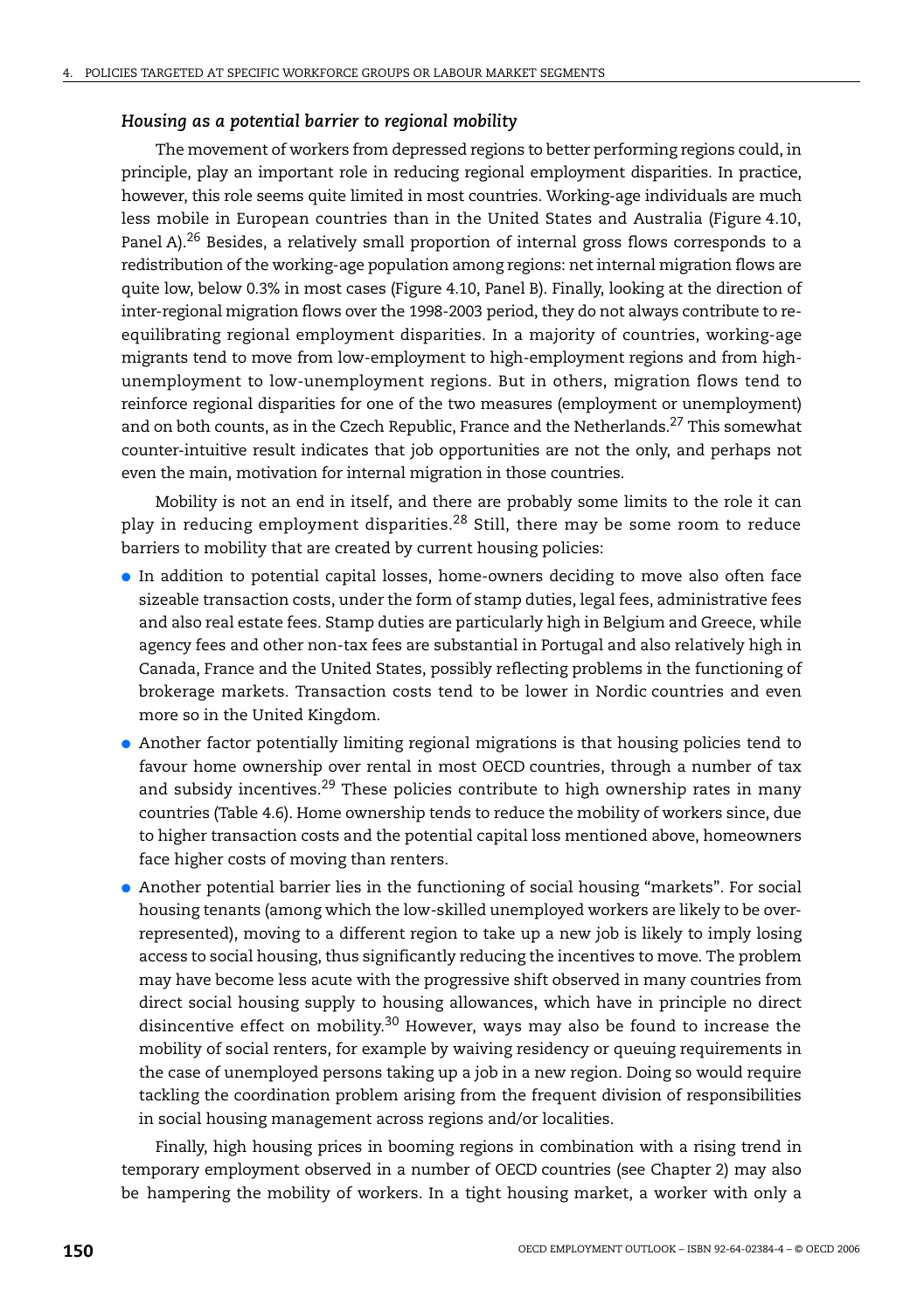# *Housing as a potential barrier to regional mobility*

The movement of workers from depressed regions to better performing regions could, in principle, play an important role in reducing regional employment disparities. In practice, however, this role seems quite limited in most countries. Working-age individuals are much less mobile in European countries than in the United States and Australia (Figure 4.10, Panel A).<sup>26</sup> Besides, a relatively small proportion of internal gross flows corresponds to a redistribution of the working-age population among regions: net internal migration flows are quite low, below 0.3% in most cases (Figure 4.10, Panel B). Finally, looking at the direction of inter-regional migration flows over the 1998-2003 period, they do not always contribute to reequilibrating regional employment disparities. In a majority of countries, working-age migrants tend to move from low-employment to high-employment regions and from highunemployment to low-unemployment regions. But in others, migration flows tend to reinforce regional disparities for one of the two measures (employment or unemployment) and on both counts, as in the Czech Republic, France and the Netherlands. $^{27}$  This somewhat counter-intuitive result indicates that job opportunities are not the only, and perhaps not even the main, motivation for internal migration in those countries.

Mobility is not an end in itself, and there are probably some limits to the role it can play in reducing employment disparities.<sup>28</sup> Still, there may be some room to reduce barriers to mobility that are created by current housing policies:

- In addition to potential capital losses, home-owners deciding to move also often face sizeable transaction costs, under the form of stamp duties, legal fees, administrative fees and also real estate fees. Stamp duties are particularly high in Belgium and Greece, while agency fees and other non-tax fees are substantial in Portugal and also relatively high in Canada, France and the United States, possibly reflecting problems in the functioning of brokerage markets. Transaction costs tend to be lower in Nordic countries and even more so in the United Kingdom.
- Another factor potentially limiting regional migrations is that housing policies tend to favour home ownership over rental in most OECD countries, through a number of tax and subsidy incentives.<sup>29</sup> These policies contribute to high ownership rates in many countries (Table 4.6). Home ownership tends to reduce the mobility of workers since, due to higher transaction costs and the potential capital loss mentioned above, homeowners face higher costs of moving than renters.
- Another potential barrier lies in the functioning of social housing "markets". For social housing tenants (among which the low-skilled unemployed workers are likely to be overrepresented), moving to a different region to take up a new job is likely to imply losing access to social housing, thus significantly reducing the incentives to move. The problem may have become less acute with the progressive shift observed in many countries from direct social housing supply to housing allowances, which have in principle no direct disincentive effect on mobility.<sup>30</sup> However, ways may also be found to increase the mobility of social renters, for example by waiving residency or queuing requirements in the case of unemployed persons taking up a job in a new region. Doing so would require tackling the coordination problem arising from the frequent division of responsibilities in social housing management across regions and/or localities.

Finally, high housing prices in booming regions in combination with a rising trend in temporary employment observed in a number of OECD countries (see Chapter 2) may also be hampering the mobility of workers. In a tight housing market, a worker with only a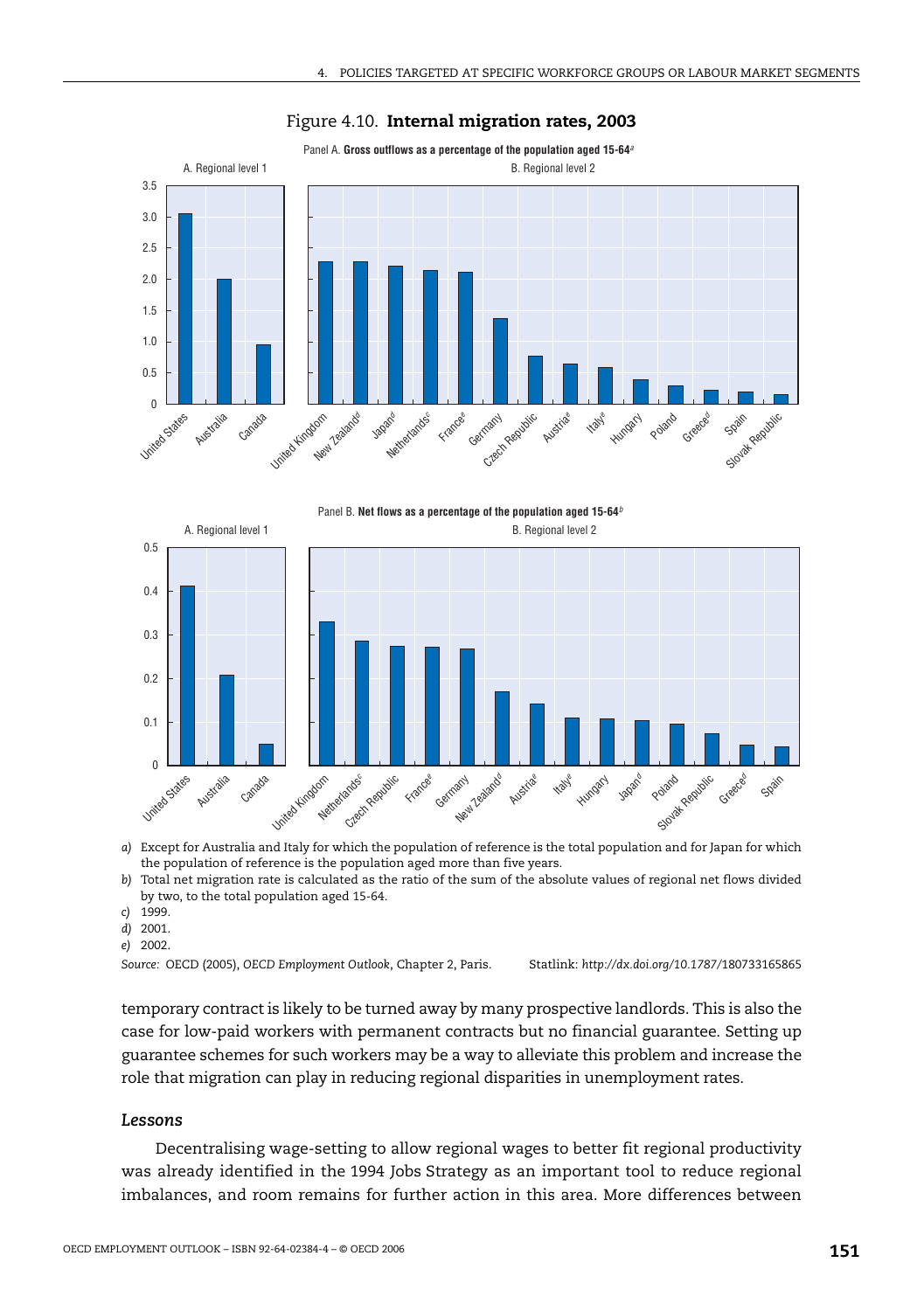

## Figure 4.10. **Internal migration rates, 2003**



- *a)* Except for Australia and Italy for which the population of reference is the total population and for Japan for which the population of reference is the population aged more than five years.
- *b)* Total net migration rate is calculated as the ratio of the sum of the absolute values of regional net flows divided by two, to the total population aged 15-64.
- *c)* 1999.
- *d)* 2001.
- *e)* 2002.

*Source:* OECD (2005), *OECD Employment Outlook*, Chapter 2, Paris. Statlink: *http://dx.doi.org/10.1787/*180733165865

temporary contract is likely to be turned away by many prospective landlords. This is also the case for low-paid workers with permanent contracts but no financial guarantee. Setting up guarantee schemes for such workers may be a way to alleviate this problem and increase the role that migration can play in reducing regional disparities in unemployment rates.

#### *Lessons*

Decentralising wage-setting to allow regional wages to better fit regional productivity was already identified in the 1994 Jobs Strategy as an important tool to reduce regional imbalances, and room remains for further action in this area. More differences between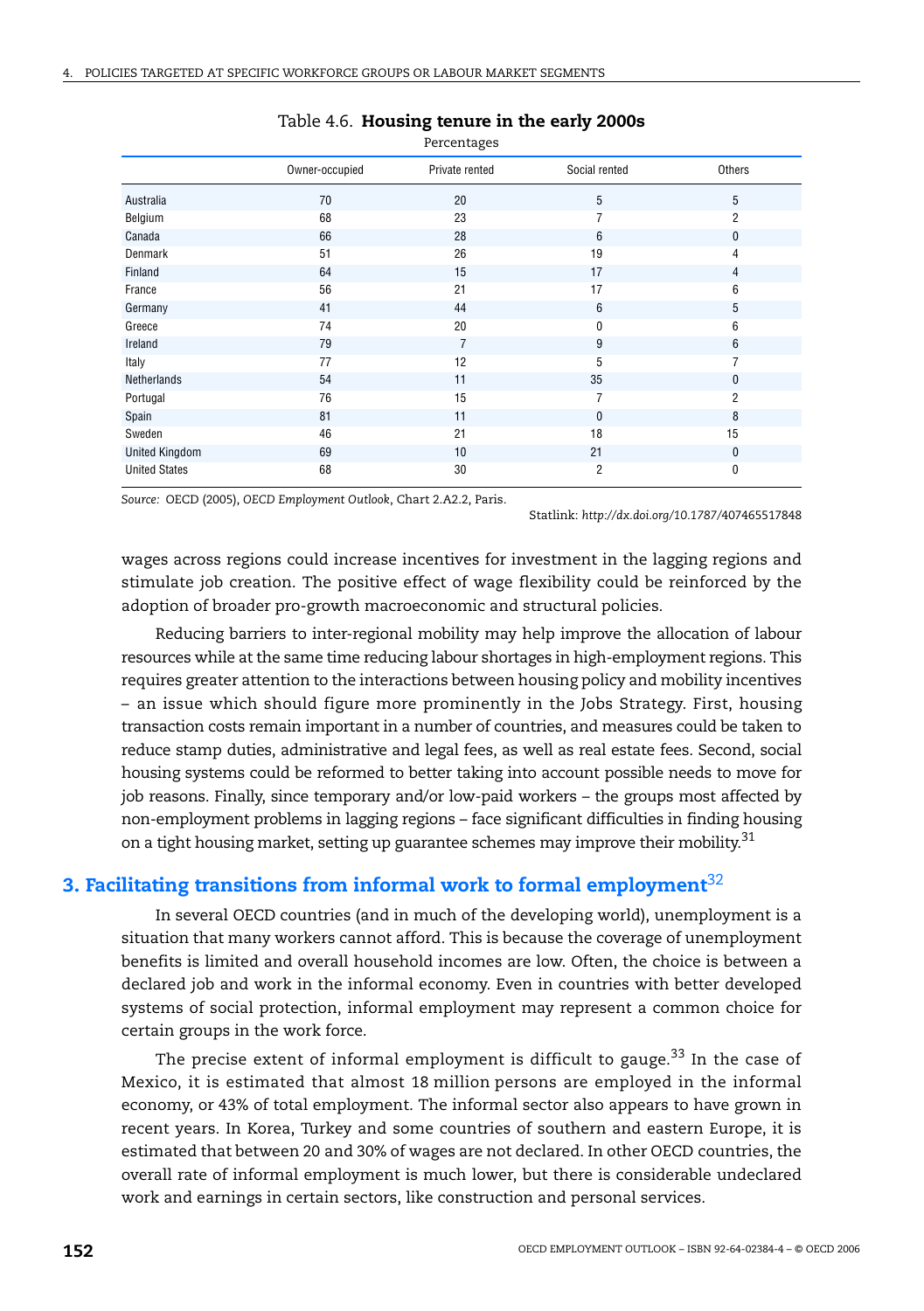| rerecinages           |                |                |                |                |  |
|-----------------------|----------------|----------------|----------------|----------------|--|
|                       | Owner-occupied | Private rented | Social rented  | Others         |  |
| Australia             | 70             | 20             | 5              | 5              |  |
| Belgium               | 68             | 23             | 7              | $\overline{2}$ |  |
| Canada                | 66             | 28             | 6              | $\bf{0}$       |  |
| Denmark               | 51             | 26             | 19             | 4              |  |
| Finland               | 64             | 15             | 17             | $\overline{4}$ |  |
| France                | 56             | 21             | 17             | 6              |  |
| Germany               | 41             | 44             | 6              | 5              |  |
| Greece                | 74             | 20             | 0              | 6              |  |
| Ireland               | 79             | $\overline{7}$ | 9              | 6              |  |
| Italy                 | 77             | 12             | 5              | 7              |  |
| Netherlands           | 54             | 11             | 35             | $\pmb{0}$      |  |
| Portugal              | 76             | 15             | 7              | $\overline{2}$ |  |
| Spain                 | 81             | 11             | 0              | 8              |  |
| Sweden                | 46             | 21             | 18             | 15             |  |
| <b>United Kingdom</b> | 69             | 10             | 21             | $\mathbf{0}$   |  |
| <b>United States</b>  | 68             | 30             | $\overline{2}$ | $\mathbf{0}$   |  |

#### Table 4.6. **Housing tenure in the early 2000s**

Percentages

*Source:* OECD (2005), *OECD Employment Outlook*, Chart 2.A2.2, Paris.

Statlink: *http://dx.doi.org/10.1787/*407465517848

wages across regions could increase incentives for investment in the lagging regions and stimulate job creation. The positive effect of wage flexibility could be reinforced by the adoption of broader pro-growth macroeconomic and structural policies.

Reducing barriers to inter-regional mobility may help improve the allocation of labour resources while at the same time reducing labour shortages in high-employment regions. This requires greater attention to the interactions between housing policy and mobility incentives – an issue which should figure more prominently in the Jobs Strategy. First, housing transaction costs remain important in a number of countries, and measures could be taken to reduce stamp duties, administrative and legal fees, as well as real estate fees. Second, social housing systems could be reformed to better taking into account possible needs to move for job reasons. Finally, since temporary and/or low-paid workers – the groups most affected by non-employment problems in lagging regions – face significant difficulties in finding housing on a tight housing market, setting up guarantee schemes may improve their mobility.<sup>31</sup>

# **3. Facilitating transitions from informal work to formal employment**<sup>32</sup>

In several OECD countries (and in much of the developing world), unemployment is a situation that many workers cannot afford. This is because the coverage of unemployment benefits is limited and overall household incomes are low. Often, the choice is between a declared job and work in the informal economy. Even in countries with better developed systems of social protection, informal employment may represent a common choice for certain groups in the work force.

The precise extent of informal employment is difficult to gauge. $33$  In the case of Mexico, it is estimated that almost 18 million persons are employed in the informal economy, or 43% of total employment. The informal sector also appears to have grown in recent years. In Korea, Turkey and some countries of southern and eastern Europe, it is estimated that between 20 and 30% of wages are not declared. In other OECD countries, the overall rate of informal employment is much lower, but there is considerable undeclared work and earnings in certain sectors, like construction and personal services.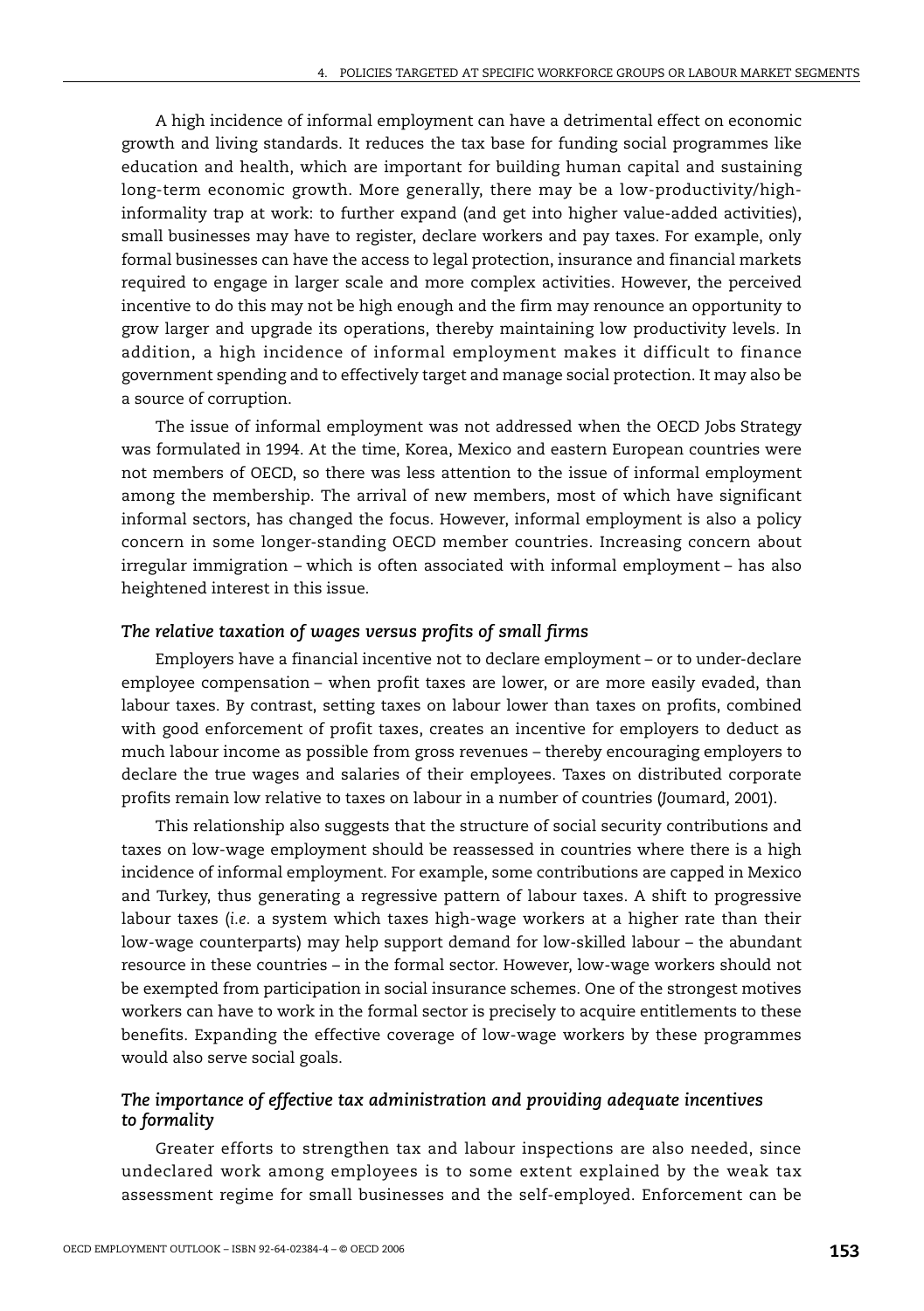A high incidence of informal employment can have a detrimental effect on economic growth and living standards. It reduces the tax base for funding social programmes like education and health, which are important for building human capital and sustaining long-term economic growth. More generally, there may be a low-productivity/highinformality trap at work: to further expand (and get into higher value-added activities), small businesses may have to register, declare workers and pay taxes. For example, only formal businesses can have the access to legal protection, insurance and financial markets required to engage in larger scale and more complex activities. However, the perceived incentive to do this may not be high enough and the firm may renounce an opportunity to grow larger and upgrade its operations, thereby maintaining low productivity levels. In addition, a high incidence of informal employment makes it difficult to finance government spending and to effectively target and manage social protection. It may also be a source of corruption.

The issue of informal employment was not addressed when the OECD Jobs Strategy was formulated in 1994. At the time, Korea, Mexico and eastern European countries were not members of OECD, so there was less attention to the issue of informal employment among the membership. The arrival of new members, most of which have significant informal sectors, has changed the focus. However, informal employment is also a policy concern in some longer-standing OECD member countries. Increasing concern about irregular immigration – which is often associated with informal employment – has also heightened interest in this issue.

#### *The relative taxation of wages versus profits of small firms*

Employers have a financial incentive not to declare employment – or to under-declare employee compensation – when profit taxes are lower, or are more easily evaded, than labour taxes. By contrast, setting taxes on labour lower than taxes on profits, combined with good enforcement of profit taxes, creates an incentive for employers to deduct as much labour income as possible from gross revenues – thereby encouraging employers to declare the true wages and salaries of their employees. Taxes on distributed corporate profits remain low relative to taxes on labour in a number of countries (Joumard, 2001).

This relationship also suggests that the structure of social security contributions and taxes on low-wage employment should be reassessed in countries where there is a high incidence of informal employment. For example, some contributions are capped in Mexico and Turkey, thus generating a regressive pattern of labour taxes. A shift to progressive labour taxes (*i.e.* a system which taxes high-wage workers at a higher rate than their low-wage counterparts) may help support demand for low-skilled labour – the abundant resource in these countries – in the formal sector. However, low-wage workers should not be exempted from participation in social insurance schemes. One of the strongest motives workers can have to work in the formal sector is precisely to acquire entitlements to these benefits. Expanding the effective coverage of low-wage workers by these programmes would also serve social goals.

# *The importance of effective tax administration and providing adequate incentives to formality*

Greater efforts to strengthen tax and labour inspections are also needed, since undeclared work among employees is to some extent explained by the weak tax assessment regime for small businesses and the self-employed. Enforcement can be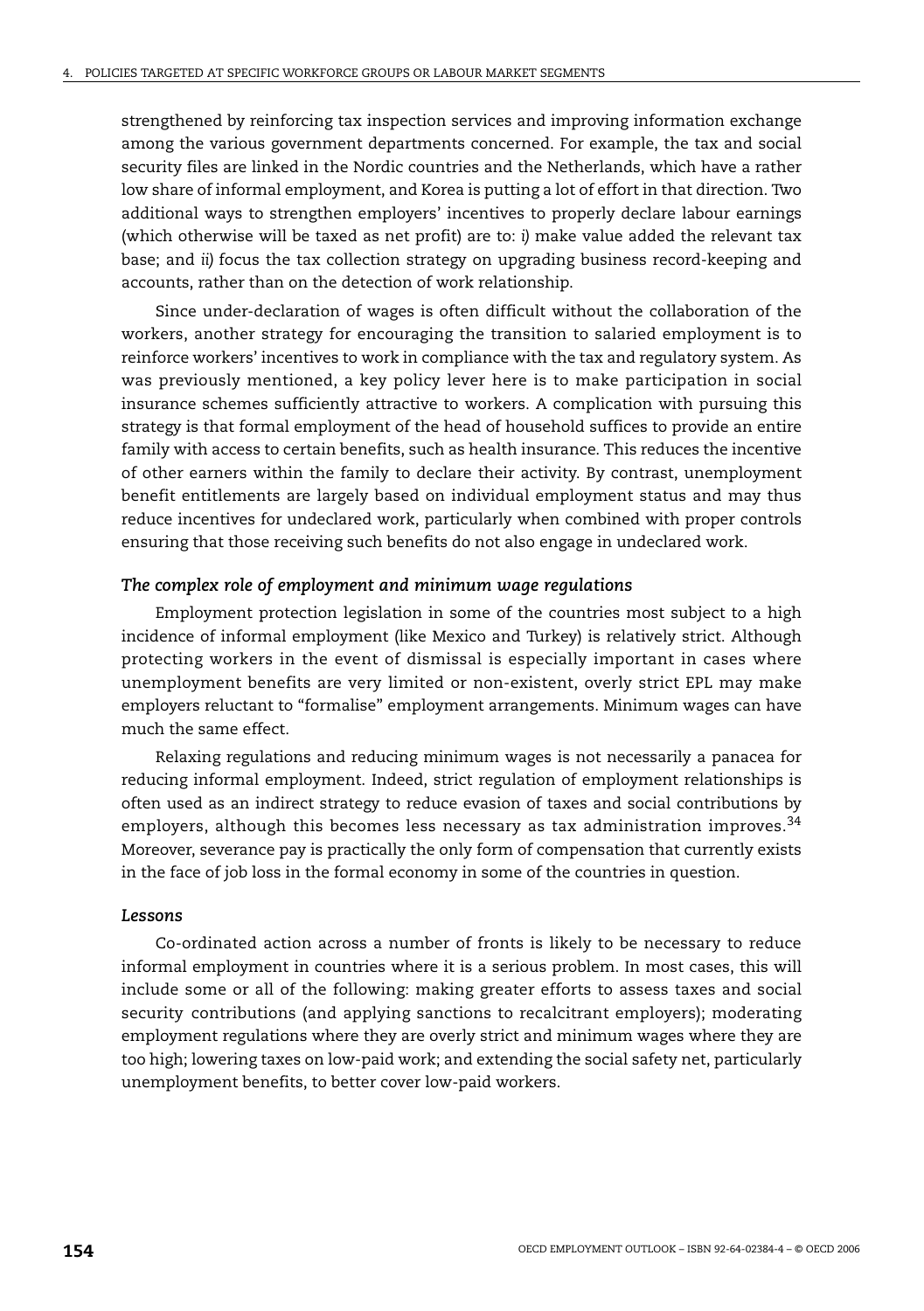strengthened by reinforcing tax inspection services and improving information exchange among the various government departments concerned. For example, the tax and social security files are linked in the Nordic countries and the Netherlands, which have a rather low share of informal employment, and Korea is putting a lot of effort in that direction. Two additional ways to strengthen employers' incentives to properly declare labour earnings (which otherwise will be taxed as net profit) are to: *i)* make value added the relevant tax base; and *ii)* focus the tax collection strategy on upgrading business record-keeping and accounts, rather than on the detection of work relationship.

Since under-declaration of wages is often difficult without the collaboration of the workers, another strategy for encouraging the transition to salaried employment is to reinforce workers' incentives to work in compliance with the tax and regulatory system. As was previously mentioned, a key policy lever here is to make participation in social insurance schemes sufficiently attractive to workers. A complication with pursuing this strategy is that formal employment of the head of household suffices to provide an entire family with access to certain benefits, such as health insurance. This reduces the incentive of other earners within the family to declare their activity. By contrast, unemployment benefit entitlements are largely based on individual employment status and may thus reduce incentives for undeclared work, particularly when combined with proper controls ensuring that those receiving such benefits do not also engage in undeclared work.

## *The complex role of employment and minimum wage regulations*

Employment protection legislation in some of the countries most subject to a high incidence of informal employment (like Mexico and Turkey) is relatively strict. Although protecting workers in the event of dismissal is especially important in cases where unemployment benefits are very limited or non-existent, overly strict EPL may make employers reluctant to "formalise" employment arrangements. Minimum wages can have much the same effect.

Relaxing regulations and reducing minimum wages is not necessarily a panacea for reducing informal employment. Indeed, strict regulation of employment relationships is often used as an indirect strategy to reduce evasion of taxes and social contributions by employers, although this becomes less necessary as tax administration improves. $34$ Moreover, severance pay is practically the only form of compensation that currently exists in the face of job loss in the formal economy in some of the countries in question.

## *Lessons*

Co-ordinated action across a number of fronts is likely to be necessary to reduce informal employment in countries where it is a serious problem. In most cases, this will include some or all of the following: making greater efforts to assess taxes and social security contributions (and applying sanctions to recalcitrant employers); moderating employment regulations where they are overly strict and minimum wages where they are too high; lowering taxes on low-paid work; and extending the social safety net, particularly unemployment benefits, to better cover low-paid workers.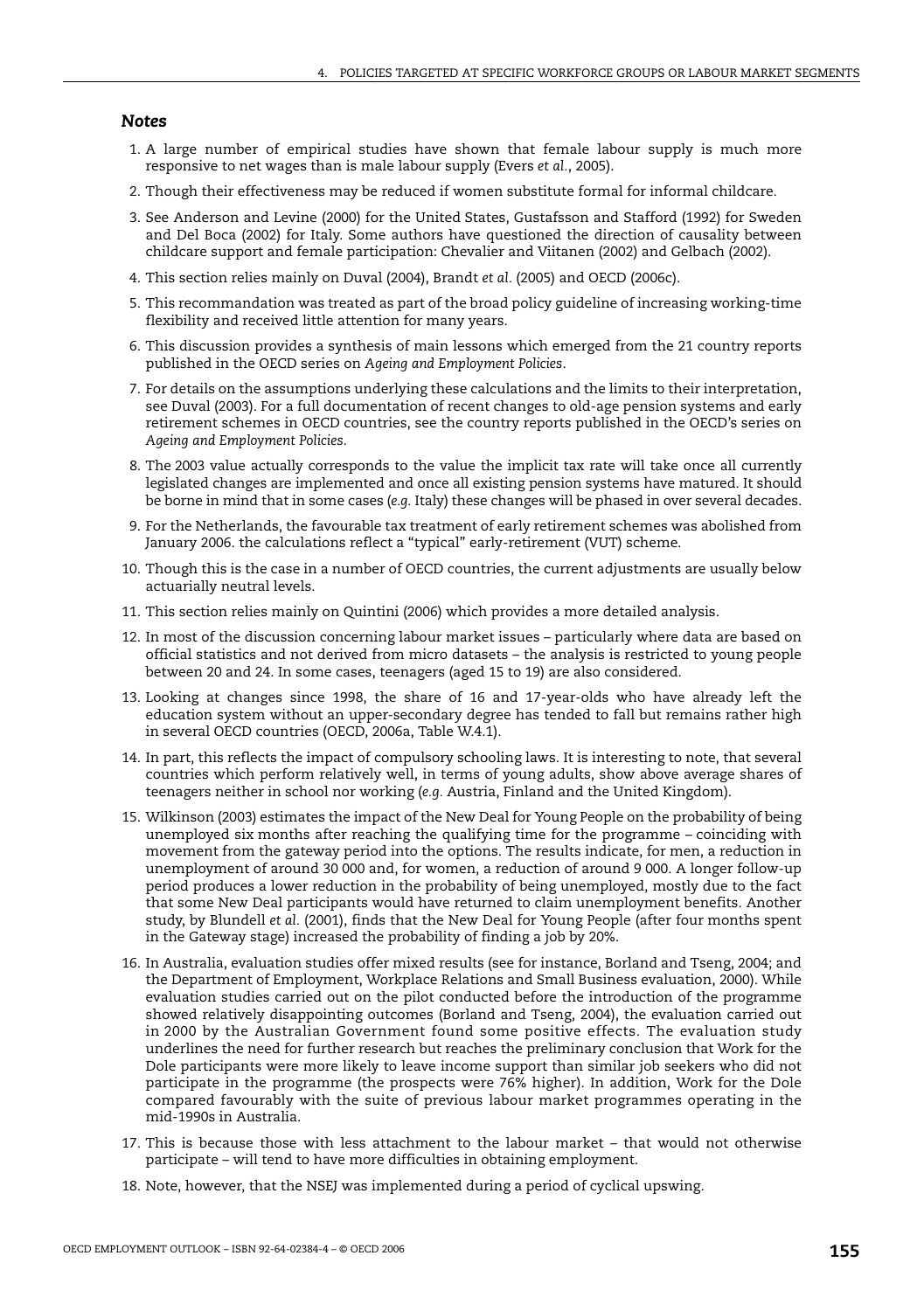#### *Notes*

- 1. A large number of empirical studies have shown that female labour supply is much more responsive to net wages than is male labour supply (Evers *et al.*, 2005).
- 2. Though their effectiveness may be reduced if women substitute formal for informal childcare.
- 3. See Anderson and Levine (2000) for the United States, Gustafsson and Stafford (1992) for Sweden and Del Boca (2002) for Italy. Some authors have questioned the direction of causality between childcare support and female participation: Chevalier and Viitanen (2002) and Gelbach (2002).
- 4. This section relies mainly on Duval (2004), Brandt *et al.* (2005) and OECD (2006c).
- 5. This recommandation was treated as part of the broad policy guideline of increasing working-time flexibility and received little attention for many years.
- 6. This discussion provides a synthesis of main lessons which emerged from the 21 country reports published in the OECD series on *Ageing and Employment Policies*.
- 7. For details on the assumptions underlying these calculations and the limits to their interpretation, see Duval (2003). For a full documentation of recent changes to old-age pension systems and early retirement schemes in OECD countries, see the country reports published in the OECD's series on *Ageing and Employment Policies*.
- 8. The 2003 value actually corresponds to the value the implicit tax rate will take once all currently legislated changes are implemented and once all existing pension systems have matured. It should be borne in mind that in some cases (*e.g.* Italy) these changes will be phased in over several decades.
- 9. For the Netherlands, the favourable tax treatment of early retirement schemes was abolished from January 2006. the calculations reflect a "typical" early-retirement (VUT) scheme.
- 10. Though this is the case in a number of OECD countries, the current adjustments are usually below actuarially neutral levels.
- 11. This section relies mainly on Quintini (2006) which provides a more detailed analysis.
- 12. In most of the discussion concerning labour market issues particularly where data are based on official statistics and not derived from micro datasets – the analysis is restricted to young people between 20 and 24. In some cases, teenagers (aged 15 to 19) are also considered.
- 13. Looking at changes since 1998, the share of 16 and 17-year-olds who have already left the education system without an upper-secondary degree has tended to fall but remains rather high in several OECD countries (OECD, 2006a, Table W.4.1).
- 14. In part, this reflects the impact of compulsory schooling laws. It is interesting to note, that several countries which perform relatively well, in terms of young adults, show above average shares of teenagers neither in school nor working (*e.g.* Austria, Finland and the United Kingdom).
- 15. Wilkinson (2003) estimates the impact of the New Deal for Young People on the probability of being unemployed six months after reaching the qualifying time for the programme – coinciding with movement from the gateway period into the options. The results indicate, for men, a reduction in unemployment of around 30 000 and, for women, a reduction of around 9 000. A longer follow-up period produces a lower reduction in the probability of being unemployed, mostly due to the fact that some New Deal participants would have returned to claim unemployment benefits. Another study, by Blundell *et al.* (2001), finds that the New Deal for Young People (after four months spent in the Gateway stage) increased the probability of finding a job by 20%.
- 16. In Australia, evaluation studies offer mixed results (see for instance, Borland and Tseng, 2004; and the Department of Employment, Workplace Relations and Small Business evaluation, 2000). While evaluation studies carried out on the pilot conducted before the introduction of the programme showed relatively disappointing outcomes (Borland and Tseng, 2004), the evaluation carried out in 2000 by the Australian Government found some positive effects. The evaluation study underlines the need for further research but reaches the preliminary conclusion that Work for the Dole participants were more likely to leave income support than similar job seekers who did not participate in the programme (the prospects were 76% higher). In addition, Work for the Dole compared favourably with the suite of previous labour market programmes operating in the mid-1990s in Australia.
- 17. This is because those with less attachment to the labour market that would not otherwise participate – will tend to have more difficulties in obtaining employment.
- 18. Note, however, that the NSEJ was implemented during a period of cyclical upswing.